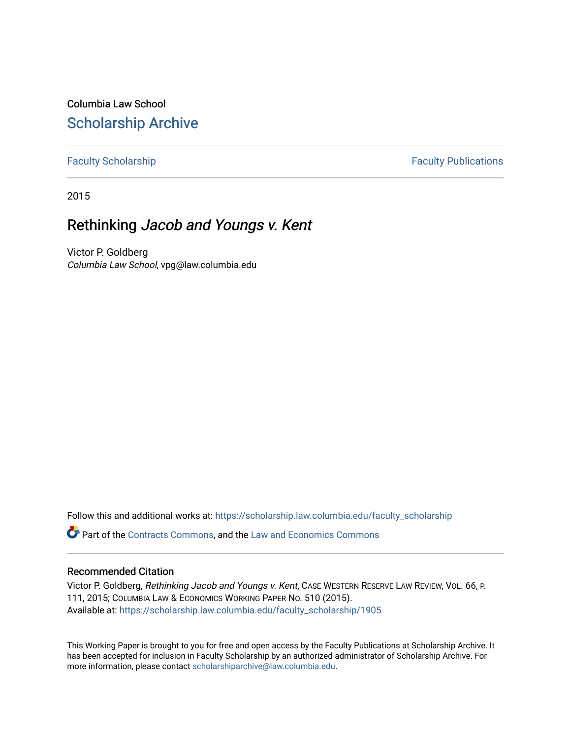Columbia Law School [Scholarship Archive](https://scholarship.law.columbia.edu/) 

[Faculty Scholarship](https://scholarship.law.columbia.edu/faculty_scholarship) **Faculty Scholarship Faculty Publications** 

2015

# Rethinking Jacob and Youngs v. Kent

Victor P. Goldberg Columbia Law School, vpg@law.columbia.edu

Follow this and additional works at: [https://scholarship.law.columbia.edu/faculty\\_scholarship](https://scholarship.law.columbia.edu/faculty_scholarship?utm_source=scholarship.law.columbia.edu%2Ffaculty_scholarship%2F1905&utm_medium=PDF&utm_campaign=PDFCoverPages)

Part of the [Contracts Commons](http://network.bepress.com/hgg/discipline/591?utm_source=scholarship.law.columbia.edu%2Ffaculty_scholarship%2F1905&utm_medium=PDF&utm_campaign=PDFCoverPages), and the [Law and Economics Commons](http://network.bepress.com/hgg/discipline/612?utm_source=scholarship.law.columbia.edu%2Ffaculty_scholarship%2F1905&utm_medium=PDF&utm_campaign=PDFCoverPages) 

### Recommended Citation

Victor P. Goldberg, Rethinking Jacob and Youngs v. Kent, CASE WESTERN RESERVE LAW REVIEW, VOL. 66, P. 111, 2015; COLUMBIA LAW & ECONOMICS WORKING PAPER NO. 510 (2015). Available at: [https://scholarship.law.columbia.edu/faculty\\_scholarship/1905](https://scholarship.law.columbia.edu/faculty_scholarship/1905?utm_source=scholarship.law.columbia.edu%2Ffaculty_scholarship%2F1905&utm_medium=PDF&utm_campaign=PDFCoverPages)

This Working Paper is brought to you for free and open access by the Faculty Publications at Scholarship Archive. It has been accepted for inclusion in Faculty Scholarship by an authorized administrator of Scholarship Archive. For more information, please contact [scholarshiparchive@law.columbia.edu.](mailto:scholarshiparchive@law.columbia.edu)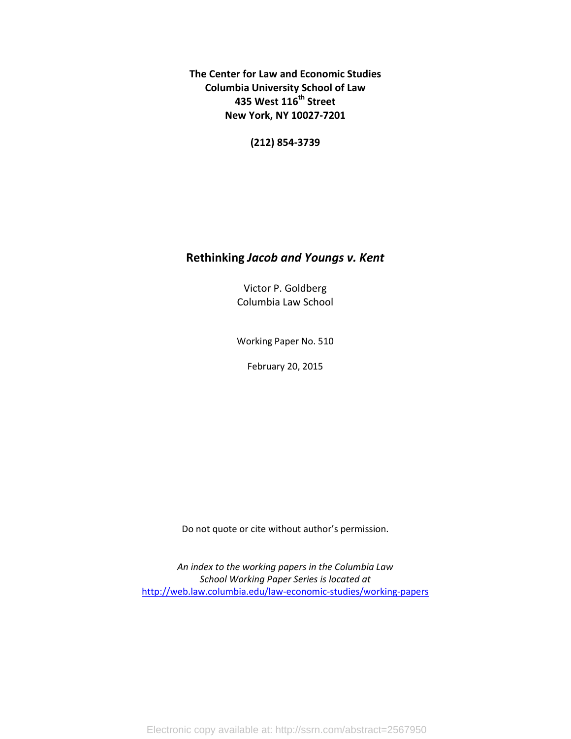The Center for Law and Economic Studies Columbia University School of Law 435 West 116<sup>th</sup> Street New York, NY 10027-7201

(212) 854-3739

# Rethinking Jacob and Youngs v. Kent

Victor P. Goldberg Columbia Law School

Working Paper No. 510

February 20, 2015

Do not quote or cite without author's permission.

An index to the working papers in the Columbia Law School Working Paper Series is located at http://web.law.columbia.edu/law-economic-studies/working-papers

Electronic copy available at: http://ssrn.com/abstract=2567950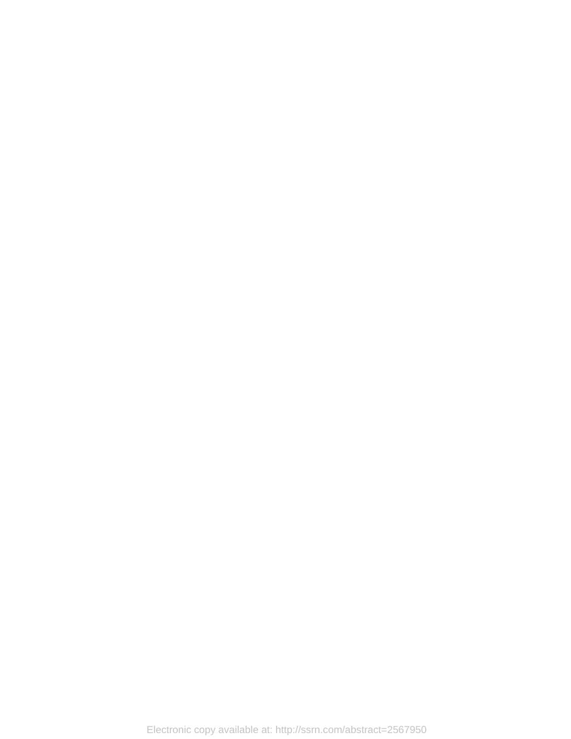Electronic copy available at: http://ssrn.com/abstract=2567950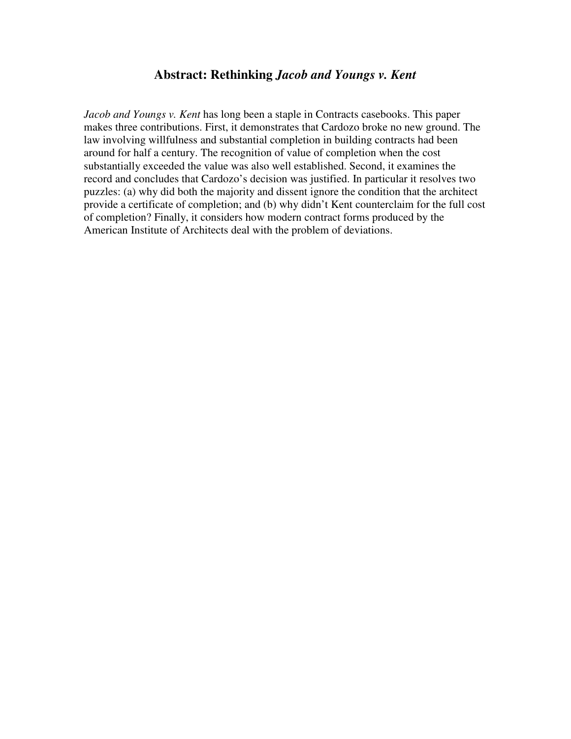# **Abstract: Rethinking** *Jacob and Youngs v. Kent*

*Jacob and Youngs v. Kent* has long been a staple in Contracts casebooks. This paper makes three contributions. First, it demonstrates that Cardozo broke no new ground. The law involving willfulness and substantial completion in building contracts had been around for half a century. The recognition of value of completion when the cost substantially exceeded the value was also well established. Second, it examines the record and concludes that Cardozo's decision was justified. In particular it resolves two puzzles: (a) why did both the majority and dissent ignore the condition that the architect provide a certificate of completion; and (b) why didn't Kent counterclaim for the full cost of completion? Finally, it considers how modern contract forms produced by the American Institute of Architects deal with the problem of deviations.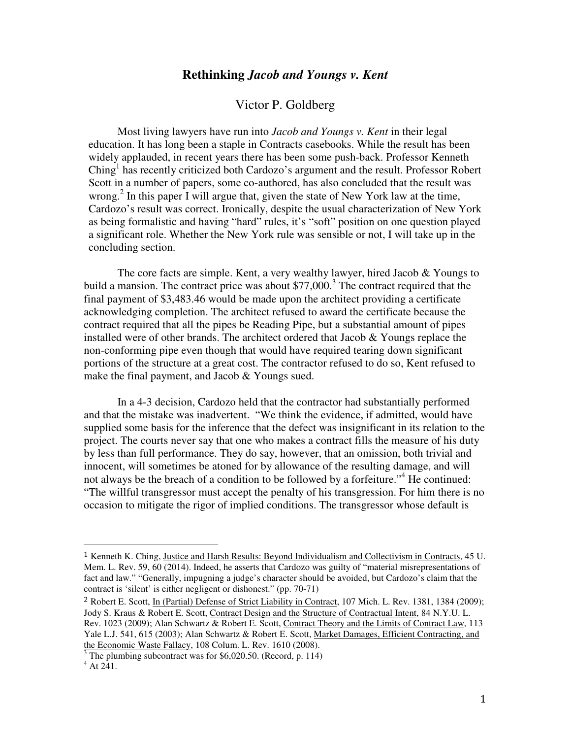# **Rethinking** *Jacob and Youngs v. Kent*

# Victor P. Goldberg

Most living lawyers have run into *Jacob and Youngs v. Kent* in their legal education. It has long been a staple in Contracts casebooks. While the result has been widely applauded, in recent years there has been some push-back. Professor Kenneth Ching<sup>1</sup> has recently criticized both Cardozo's argument and the result. Professor Robert Scott in a number of papers, some co-authored, has also concluded that the result was wrong. $2$  In this paper I will argue that, given the state of New York law at the time, Cardozo's result was correct. Ironically, despite the usual characterization of New York as being formalistic and having "hard" rules, it's "soft" position on one question played a significant role. Whether the New York rule was sensible or not, I will take up in the concluding section.

 The core facts are simple. Kent, a very wealthy lawyer, hired Jacob & Youngs to build a mansion. The contract price was about  $$77,000$ .<sup>3</sup> The contract required that the final payment of \$3,483.46 would be made upon the architect providing a certificate acknowledging completion. The architect refused to award the certificate because the contract required that all the pipes be Reading Pipe, but a substantial amount of pipes installed were of other brands. The architect ordered that Jacob & Youngs replace the non-conforming pipe even though that would have required tearing down significant portions of the structure at a great cost. The contractor refused to do so, Kent refused to make the final payment, and Jacob & Youngs sued.

In a 4-3 decision, Cardozo held that the contractor had substantially performed and that the mistake was inadvertent. "We think the evidence, if admitted, would have supplied some basis for the inference that the defect was insignificant in its relation to the project. The courts never say that one who makes a contract fills the measure of his duty by less than full performance. They do say, however, that an omission, both trivial and innocent, will sometimes be atoned for by allowance of the resulting damage, and will not always be the breach of a condition to be followed by a forfeiture."<sup>4</sup> He continued: "The willful transgressor must accept the penalty of his transgression. For him there is no occasion to mitigate the rigor of implied conditions. The transgressor whose default is

<sup>1</sup> Kenneth K. Ching, Justice and Harsh Results: Beyond Individualism and Collectivism in Contracts, 45 U. Mem. L. Rev. 59, 60 (2014). Indeed, he asserts that Cardozo was guilty of "material misrepresentations of fact and law." "Generally, impugning a judge's character should be avoided, but Cardozo's claim that the contract is 'silent' is either negligent or dishonest." (pp. 70-71)

<sup>2</sup> Robert E. Scott, In (Partial) Defense of Strict Liability in Contract, 107 Mich. L. Rev. 1381, 1384 (2009); Jody S. Kraus & Robert E. Scott, Contract Design and the Structure of Contractual Intent, 84 N.Y.U. L. Rev. 1023 (2009); Alan Schwartz & Robert E. Scott, Contract Theory and the Limits of Contract Law, 113 Yale L.J. 541, 615 (2003); Alan Schwartz & Robert E. Scott, Market Damages, Efficient Contracting, and

the Economic Waste Fallacy, 108 Colum. L. Rev. 1610 (2008).<br><sup>3</sup> The plumbing subcontract was for \$6,020.50. (Record, p. 114)  $4$  At 241.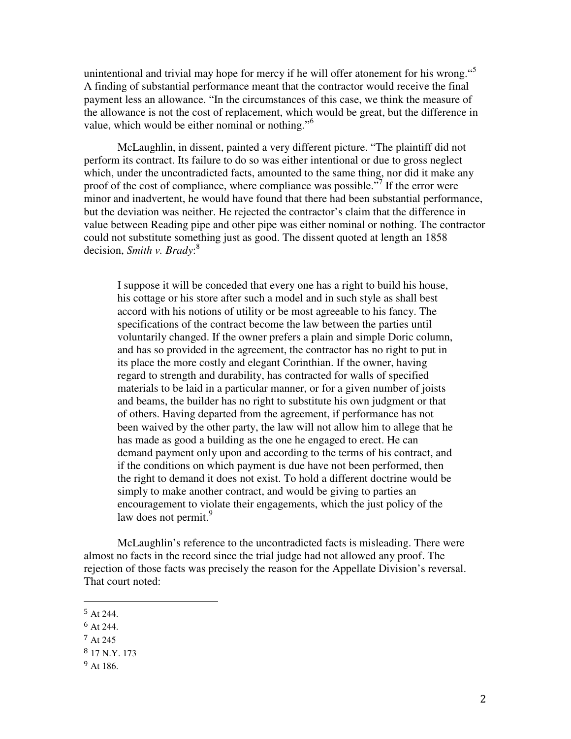unintentional and trivial may hope for mercy if he will offer atonement for his wrong. $45$ A finding of substantial performance meant that the contractor would receive the final payment less an allowance. "In the circumstances of this case, we think the measure of the allowance is not the cost of replacement, which would be great, but the difference in value, which would be either nominal or nothing."<sup>6</sup>

McLaughlin, in dissent, painted a very different picture. "The plaintiff did not perform its contract. Its failure to do so was either intentional or due to gross neglect which, under the uncontradicted facts, amounted to the same thing, nor did it make any proof of the cost of compliance, where compliance was possible.<sup>77</sup> If the error were minor and inadvertent, he would have found that there had been substantial performance, but the deviation was neither. He rejected the contractor's claim that the difference in value between Reading pipe and other pipe was either nominal or nothing. The contractor could not substitute something just as good. The dissent quoted at length an 1858 decision, *Smith v. Brady*: 8

I suppose it will be conceded that every one has a right to build his house, his cottage or his store after such a model and in such style as shall best accord with his notions of utility or be most agreeable to his fancy. The specifications of the contract become the law between the parties until voluntarily changed. If the owner prefers a plain and simple Doric column, and has so provided in the agreement, the contractor has no right to put in its place the more costly and elegant Corinthian. If the owner, having regard to strength and durability, has contracted for walls of specified materials to be laid in a particular manner, or for a given number of joists and beams, the builder has no right to substitute his own judgment or that of others. Having departed from the agreement, if performance has not been waived by the other party, the law will not allow him to allege that he has made as good a building as the one he engaged to erect. He can demand payment only upon and according to the terms of his contract, and if the conditions on which payment is due have not been performed, then the right to demand it does not exist. To hold a different doctrine would be simply to make another contract, and would be giving to parties an encouragement to violate their engagements, which the just policy of the law does not permit.<sup>9</sup>

 McLaughlin's reference to the uncontradicted facts is misleading. There were almost no facts in the record since the trial judge had not allowed any proof. The rejection of those facts was precisely the reason for the Appellate Division's reversal. That court noted:

 $\overline{a}$ 

 $9$  At 186.

<sup>5</sup> At 244.

<sup>6</sup> At 244.

<sup>7</sup> At 245

<sup>8</sup> 17 N.Y. 173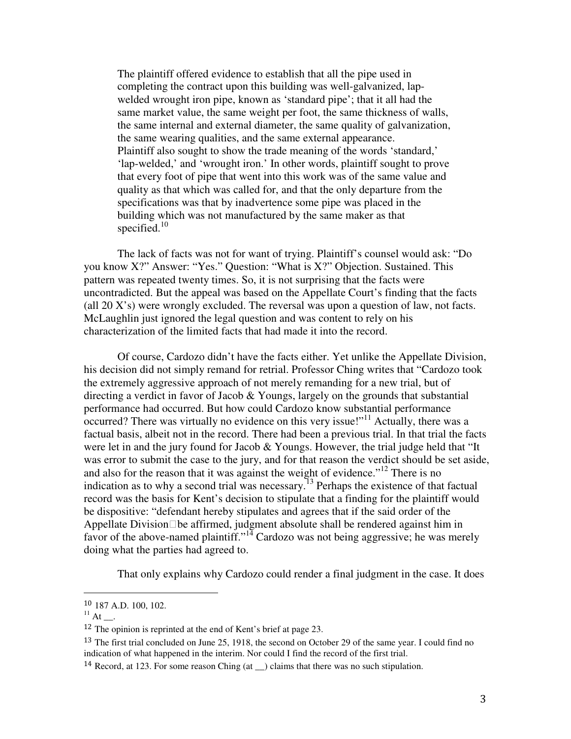The plaintiff offered evidence to establish that all the pipe used in completing the contract upon this building was well-galvanized, lapwelded wrought iron pipe, known as 'standard pipe'; that it all had the same market value, the same weight per foot, the same thickness of walls, the same internal and external diameter, the same quality of galvanization, the same wearing qualities, and the same external appearance. Plaintiff also sought to show the trade meaning of the words 'standard,' 'lap-welded,' and 'wrought iron.' In other words, plaintiff sought to prove that every foot of pipe that went into this work was of the same value and quality as that which was called for, and that the only departure from the specifications was that by inadvertence some pipe was placed in the building which was not manufactured by the same maker as that specified. $10$ 

 The lack of facts was not for want of trying. Plaintiff's counsel would ask: "Do you know X?" Answer: "Yes." Question: "What is X?" Objection. Sustained. This pattern was repeated twenty times. So, it is not surprising that the facts were uncontradicted. But the appeal was based on the Appellate Court's finding that the facts (all 20 X's) were wrongly excluded. The reversal was upon a question of law, not facts. McLaughlin just ignored the legal question and was content to rely on his characterization of the limited facts that had made it into the record.

 Of course, Cardozo didn't have the facts either. Yet unlike the Appellate Division, his decision did not simply remand for retrial. Professor Ching writes that "Cardozo took the extremely aggressive approach of not merely remanding for a new trial, but of directing a verdict in favor of Jacob & Youngs, largely on the grounds that substantial performance had occurred. But how could Cardozo know substantial performance occurred? There was virtually no evidence on this very issue!"<sup>11</sup> Actually, there was a factual basis, albeit not in the record. There had been a previous trial. In that trial the facts were let in and the jury found for Jacob & Youngs. However, the trial judge held that "It was error to submit the case to the jury, and for that reason the verdict should be set aside, and also for the reason that it was against the weight of evidence."<sup>12</sup> There is no indication as to why a second trial was necessary.<sup>13</sup> Perhaps the existence of that factual record was the basis for Kent's decision to stipulate that a finding for the plaintiff would be dispositive: "defendant hereby stipulates and agrees that if the said order of the Appellate Division be affirmed, judgment absolute shall be rendered against him in favor of the above-named plaintiff."<sup>14</sup> Cardozo was not being aggressive; he was merely doing what the parties had agreed to.

That only explains why Cardozo could render a final judgment in the case. It does

<sup>10</sup> 187 A.D. 100, 102.

 $11$  At  $\cdot$ 

<sup>12</sup> The opinion is reprinted at the end of Kent's brief at page 23.

<sup>&</sup>lt;sup>13</sup> The first trial concluded on June 25, 1918, the second on October 29 of the same year. I could find no indication of what happened in the interim. Nor could I find the record of the first trial.

<sup>&</sup>lt;sup>14</sup> Record, at 123. For some reason Ching (at ) claims that there was no such stipulation.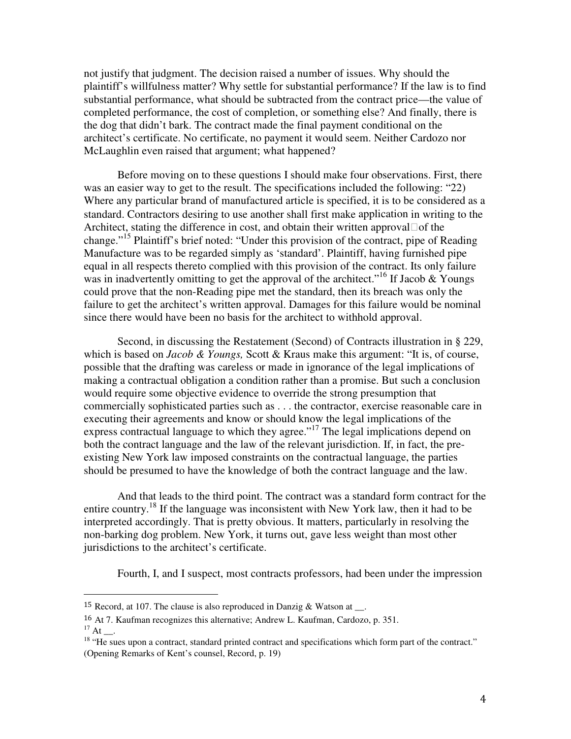not justify that judgment. The decision raised a number of issues. Why should the plaintiff's willfulness matter? Why settle for substantial performance? If the law is to find substantial performance, what should be subtracted from the contract price—the value of completed performance, the cost of completion, or something else? And finally, there is the dog that didn't bark. The contract made the final payment conditional on the architect's certificate. No certificate, no payment it would seem. Neither Cardozo nor McLaughlin even raised that argument; what happened?

 Before moving on to these questions I should make four observations. First, there was an easier way to get to the result. The specifications included the following: "22) Where any particular brand of manufactured article is specified, it is to be considered as a standard. Contractors desiring to use another shall first make application in writing to the Architect, stating the difference in cost, and obtain their written approval of the change."<sup>15</sup> Plaintiff's brief noted: "Under this provision of the contract, pipe of Reading Manufacture was to be regarded simply as 'standard'. Plaintiff, having furnished pipe equal in all respects thereto complied with this provision of the contract. Its only failure was in inadvertently omitting to get the approval of the architect."<sup>16</sup> If Jacob & Youngs could prove that the non-Reading pipe met the standard, then its breach was only the failure to get the architect's written approval. Damages for this failure would be nominal since there would have been no basis for the architect to withhold approval.

 Second, in discussing the Restatement (Second) of Contracts illustration in § 229, which is based on *Jacob & Youngs,* Scott & Kraus make this argument: "It is, of course, possible that the drafting was careless or made in ignorance of the legal implications of making a contractual obligation a condition rather than a promise. But such a conclusion would require some objective evidence to override the strong presumption that commercially sophisticated parties such as . . . the contractor, exercise reasonable care in executing their agreements and know or should know the legal implications of the express contractual language to which they agree."<sup>17</sup> The legal implications depend on both the contract language and the law of the relevant jurisdiction. If, in fact, the preexisting New York law imposed constraints on the contractual language, the parties should be presumed to have the knowledge of both the contract language and the law.

 And that leads to the third point. The contract was a standard form contract for the entire country.<sup>18</sup> If the language was inconsistent with New York law, then it had to be interpreted accordingly. That is pretty obvious. It matters, particularly in resolving the non-barking dog problem. New York, it turns out, gave less weight than most other jurisdictions to the architect's certificate.

Fourth, I, and I suspect, most contracts professors, had been under the impression

<sup>&</sup>lt;sup>15</sup> Record, at 107. The clause is also reproduced in Danzig & Watson at  $\Box$ .

<sup>16</sup> At 7. Kaufman recognizes this alternative; Andrew L. Kaufman, Cardozo, p. 351.  $17$  At  $\cdot$ 

<sup>&</sup>lt;sup>18</sup> "He sues upon a contract, standard printed contract and specifications which form part of the contract." (Opening Remarks of Kent's counsel, Record, p. 19)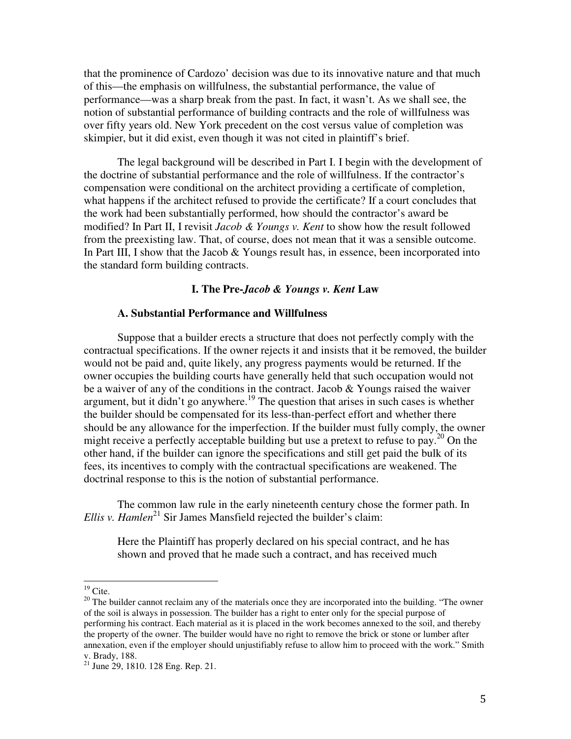that the prominence of Cardozo' decision was due to its innovative nature and that much of this—the emphasis on willfulness, the substantial performance, the value of performance—was a sharp break from the past. In fact, it wasn't. As we shall see, the notion of substantial performance of building contracts and the role of willfulness was over fifty years old. New York precedent on the cost versus value of completion was skimpier, but it did exist, even though it was not cited in plaintiff's brief.

 The legal background will be described in Part I. I begin with the development of the doctrine of substantial performance and the role of willfulness. If the contractor's compensation were conditional on the architect providing a certificate of completion, what happens if the architect refused to provide the certificate? If a court concludes that the work had been substantially performed, how should the contractor's award be modified? In Part II, I revisit *Jacob & Youngs v. Kent* to show how the result followed from the preexisting law. That, of course, does not mean that it was a sensible outcome. In Part III, I show that the Jacob & Youngs result has, in essence, been incorporated into the standard form building contracts.

### **I. The Pre-***Jacob & Youngs v. Kent* **Law**

#### **A. Substantial Performance and Willfulness**

Suppose that a builder erects a structure that does not perfectly comply with the contractual specifications. If the owner rejects it and insists that it be removed, the builder would not be paid and, quite likely, any progress payments would be returned. If the owner occupies the building courts have generally held that such occupation would not be a waiver of any of the conditions in the contract. Jacob  $&$  Youngs raised the waiver argument, but it didn't go anywhere.<sup>19</sup> The question that arises in such cases is whether the builder should be compensated for its less-than-perfect effort and whether there should be any allowance for the imperfection. If the builder must fully comply, the owner might receive a perfectly acceptable building but use a pretext to refuse to pay.<sup>20</sup> On the other hand, if the builder can ignore the specifications and still get paid the bulk of its fees, its incentives to comply with the contractual specifications are weakened. The doctrinal response to this is the notion of substantial performance.

 The common law rule in the early nineteenth century chose the former path. In *Ellis v. Hamlen*<sup>21</sup> Sir James Mansfield rejected the builder's claim:

Here the Plaintiff has properly declared on his special contract, and he has shown and proved that he made such a contract, and has received much

 $\overline{\phantom{a}}$ 

 $19$  Cite.

<sup>&</sup>lt;sup>20</sup> The builder cannot reclaim any of the materials once they are incorporated into the building. "The owner of the soil is always in possession. The builder has a right to enter only for the special purpose of performing his contract. Each material as it is placed in the work becomes annexed to the soil, and thereby the property of the owner. The builder would have no right to remove the brick or stone or lumber after annexation, even if the employer should unjustifiably refuse to allow him to proceed with the work." Smith v. Brady, 188.

 $21$  June 29, 1810. 128 Eng. Rep. 21.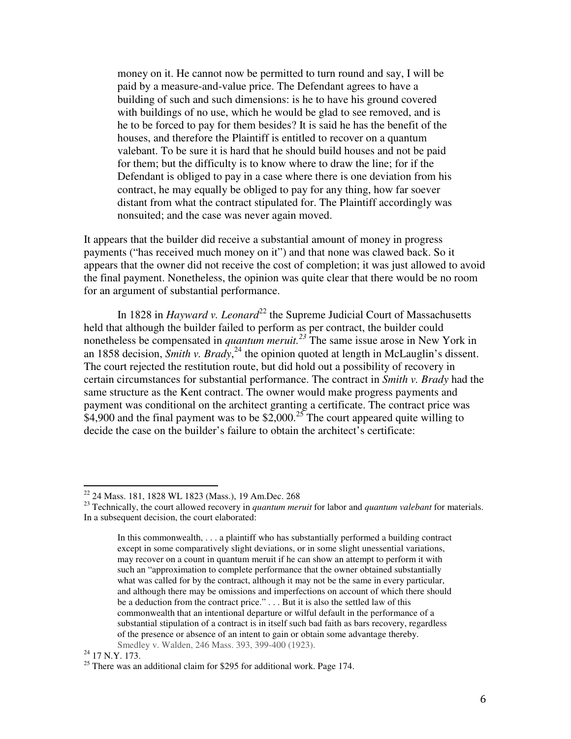money on it. He cannot now be permitted to turn round and say, I will be paid by a measure-and-value price. The Defendant agrees to have a building of such and such dimensions: is he to have his ground covered with buildings of no use, which he would be glad to see removed, and is he to be forced to pay for them besides? It is said he has the benefit of the houses, and therefore the Plaintiff is entitled to recover on a quantum valebant. To be sure it is hard that he should build houses and not be paid for them; but the difficulty is to know where to draw the line; for if the Defendant is obliged to pay in a case where there is one deviation from his contract, he may equally be obliged to pay for any thing, how far soever distant from what the contract stipulated for. The Plaintiff accordingly was nonsuited; and the case was never again moved.

It appears that the builder did receive a substantial amount of money in progress payments ("has received much money on it") and that none was clawed back. So it appears that the owner did not receive the cost of completion; it was just allowed to avoid the final payment. Nonetheless, the opinion was quite clear that there would be no room for an argument of substantial performance.

In 1828 in *Hayward v. Leonard*<sup>22</sup> the Supreme Judicial Court of Massachusetts held that although the builder failed to perform as per contract, the builder could nonetheless be compensated in *quantum meruit.<sup>23</sup>* The same issue arose in New York in an 1858 decision, *Smith v. Brady*, <sup>24</sup> the opinion quoted at length in McLauglin's dissent. The court rejected the restitution route, but did hold out a possibility of recovery in certain circumstances for substantial performance. The contract in *Smith v. Brady* had the same structure as the Kent contract. The owner would make progress payments and payment was conditional on the architect granting a certificate. The contract price was \$4,900 and the final payment was to be  $\sum_{n=1}^{\infty} 2.000$ .<sup>25</sup> The court appeared quite willing to decide the case on the builder's failure to obtain the architect's certificate:

 $\overline{\phantom{a}}$ 

<sup>&</sup>lt;sup>22</sup> 24 Mass. 181, 1828 WL 1823 (Mass.), 19 Am.Dec. 268

<sup>23</sup> Technically, the court allowed recovery in *quantum meruit* for labor and *quantum valebant* for materials. In a subsequent decision, the court elaborated:

In this commonwealth, . . . a plaintiff who has substantially performed a building contract except in some comparatively slight deviations, or in some slight unessential variations, may recover on a count in quantum meruit if he can show an attempt to perform it with such an "approximation to complete performance that the owner obtained substantially what was called for by the contract, although it may not be the same in every particular, and although there may be omissions and imperfections on account of which there should be a deduction from the contract price." . . . But it is also the settled law of this commonwealth that an intentional departure or wilful default in the performance of a substantial stipulation of a contract is in itself such bad faith as bars recovery, regardless of the presence or absence of an intent to gain or obtain some advantage thereby. Smedley v. Walden, 246 Mass. 393, 399-400 (1923).

 $24$  17 N.Y. 173.

 $^{25}$  There was an additional claim for \$295 for additional work. Page 174.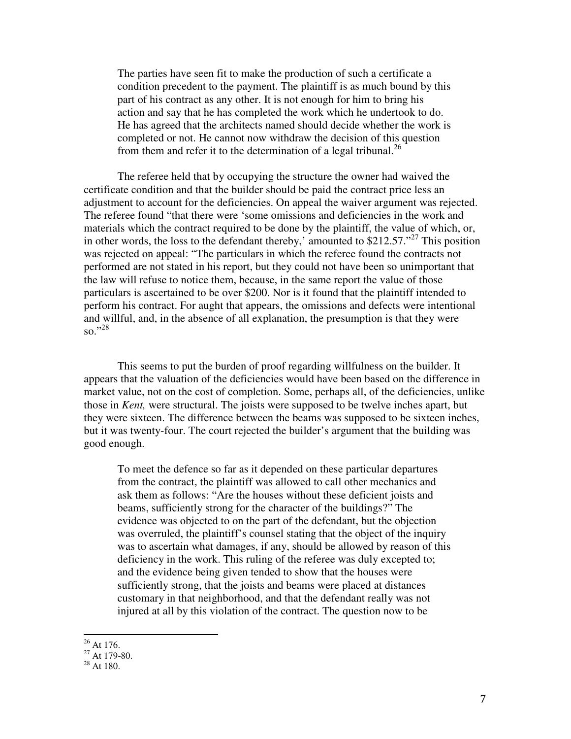The parties have seen fit to make the production of such a certificate a condition precedent to the payment. The plaintiff is as much bound by this part of his contract as any other. It is not enough for him to bring his action and say that he has completed the work which he undertook to do. He has agreed that the architects named should decide whether the work is completed or not. He cannot now withdraw the decision of this question from them and refer it to the determination of a legal tribunal.<sup>26</sup>

The referee held that by occupying the structure the owner had waived the certificate condition and that the builder should be paid the contract price less an adjustment to account for the deficiencies. On appeal the waiver argument was rejected. The referee found "that there were 'some omissions and deficiencies in the work and materials which the contract required to be done by the plaintiff, the value of which, or, in other words, the loss to the defendant thereby,' amounted to  $$212.57."^{27}$  This position was rejected on appeal: "The particulars in which the referee found the contracts not performed are not stated in his report, but they could not have been so unimportant that the law will refuse to notice them, because, in the same report the value of those particulars is ascertained to be over \$200. Nor is it found that the plaintiff intended to perform his contract. For aught that appears, the omissions and defects were intentional and willful, and, in the absence of all explanation, the presumption is that they were so." $^{328}$ 

 This seems to put the burden of proof regarding willfulness on the builder. It appears that the valuation of the deficiencies would have been based on the difference in market value, not on the cost of completion. Some, perhaps all, of the deficiencies, unlike those in *Kent,* were structural. The joists were supposed to be twelve inches apart, but they were sixteen. The difference between the beams was supposed to be sixteen inches, but it was twenty-four. The court rejected the builder's argument that the building was good enough.

To meet the defence so far as it depended on these particular departures from the contract, the plaintiff was allowed to call other mechanics and ask them as follows: "Are the houses without these deficient joists and beams, sufficiently strong for the character of the buildings?" The evidence was objected to on the part of the defendant, but the objection was overruled, the plaintiff's counsel stating that the object of the inquiry was to ascertain what damages, if any, should be allowed by reason of this deficiency in the work. This ruling of the referee was duly excepted to; and the evidence being given tended to show that the houses were sufficiently strong, that the joists and beams were placed at distances customary in that neighborhood, and that the defendant really was not injured at all by this violation of the contract. The question now to be

 $26$  At 176.

 $27$  At 179-80.

 $^{28}$  At 180.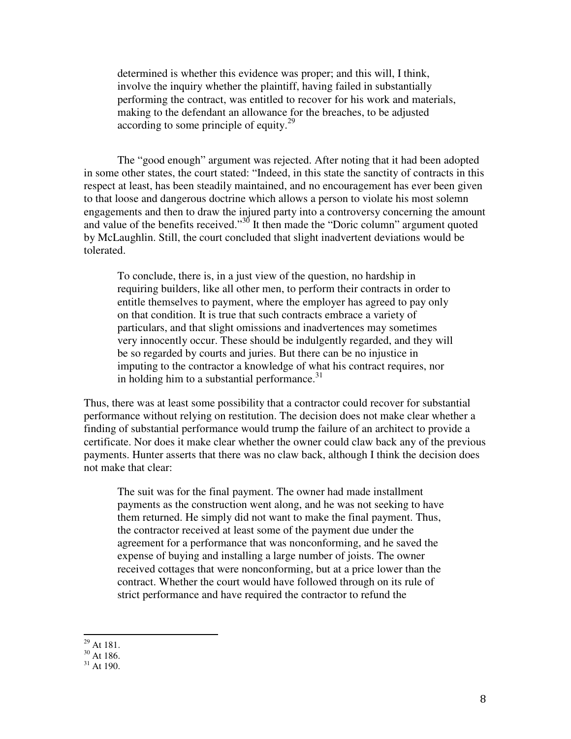determined is whether this evidence was proper; and this will, I think, involve the inquiry whether the plaintiff, having failed in substantially performing the contract, was entitled to recover for his work and materials, making to the defendant an allowance for the breaches, to be adjusted according to some principle of equity.<sup>29</sup>

The "good enough" argument was rejected. After noting that it had been adopted in some other states, the court stated: "Indeed, in this state the sanctity of contracts in this respect at least, has been steadily maintained, and no encouragement has ever been given to that loose and dangerous doctrine which allows a person to violate his most solemn engagements and then to draw the injured party into a controversy concerning the amount and value of the benefits received. $1^{30}$  It then made the "Doric column" argument quoted by McLaughlin. Still, the court concluded that slight inadvertent deviations would be tolerated.

To conclude, there is, in a just view of the question, no hardship in requiring builders, like all other men, to perform their contracts in order to entitle themselves to payment, where the employer has agreed to pay only on that condition. It is true that such contracts embrace a variety of particulars, and that slight omissions and inadvertences may sometimes very innocently occur. These should be indulgently regarded, and they will be so regarded by courts and juries. But there can be no injustice in imputing to the contractor a knowledge of what his contract requires, nor in holding him to a substantial performance. $31$ 

Thus, there was at least some possibility that a contractor could recover for substantial performance without relying on restitution. The decision does not make clear whether a finding of substantial performance would trump the failure of an architect to provide a certificate. Nor does it make clear whether the owner could claw back any of the previous payments. Hunter asserts that there was no claw back, although I think the decision does not make that clear:

The suit was for the final payment. The owner had made installment payments as the construction went along, and he was not seeking to have them returned. He simply did not want to make the final payment. Thus, the contractor received at least some of the payment due under the agreement for a performance that was nonconforming, and he saved the expense of buying and installing a large number of joists. The owner received cottages that were nonconforming, but at a price lower than the contract. Whether the court would have followed through on its rule of strict performance and have required the contractor to refund the

 $^{29}$  At 181.

 $30$  At 186.

 $31$  At 190.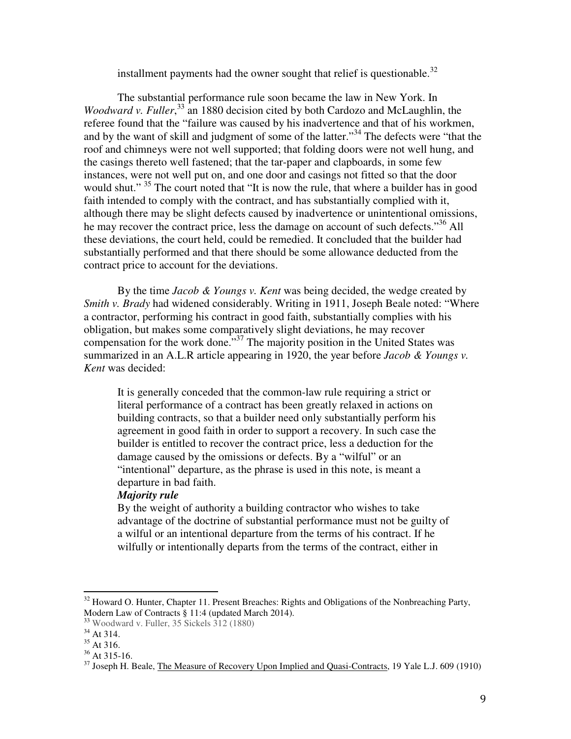# installment payments had the owner sought that relief is questionable.<sup>32</sup>

The substantial performance rule soon became the law in New York. In Woodward v. Fuller,<sup>33</sup> an 1880 decision cited by both Cardozo and McLaughlin, the referee found that the "failure was caused by his inadvertence and that of his workmen, and by the want of skill and judgment of some of the latter."<sup>34</sup> The defects were "that the roof and chimneys were not well supported; that folding doors were not well hung, and the casings thereto well fastened; that the tar-paper and clapboards, in some few instances, were not well put on, and one door and casings not fitted so that the door would shut."<sup>35</sup> The court noted that "It is now the rule, that where a builder has in good faith intended to comply with the contract, and has substantially complied with it, although there may be slight defects caused by inadvertence or unintentional omissions, he may recover the contract price, less the damage on account of such defects."<sup>36</sup> All these deviations, the court held, could be remedied. It concluded that the builder had substantially performed and that there should be some allowance deducted from the contract price to account for the deviations.

By the time *Jacob & Youngs v. Kent* was being decided, the wedge created by *Smith v. Brady* had widened considerably. Writing in 1911, Joseph Beale noted: "Where a contractor, performing his contract in good faith, substantially complies with his obligation, but makes some comparatively slight deviations, he may recover compensation for the work done."<sup>37</sup> The majority position in the United States was summarized in an A.L.R article appearing in 1920, the year before *Jacob & Youngs v. Kent* was decided:

It is generally conceded that the common-law rule requiring a strict or literal performance of a contract has been greatly relaxed in actions on building contracts, so that a builder need only substantially perform his agreement in good faith in order to support a recovery. In such case the builder is entitled to recover the contract price, less a deduction for the damage caused by the omissions or defects. By a "wilful" or an "intentional" departure, as the phrase is used in this note, is meant a departure in bad faith.

### *Majority rule*

By the weight of authority a building contractor who wishes to take advantage of the doctrine of substantial performance must not be guilty of a wilful or an intentional departure from the terms of his contract. If he wilfully or intentionally departs from the terms of the contract, either in

 $32$  Howard O. Hunter, Chapter 11. Present Breaches: Rights and Obligations of the Nonbreaching Party, Modern Law of Contracts § 11:4 (updated March 2014).

<sup>33</sup> Woodward v. Fuller, 35 Sickels 312 (1880)

 $34$  At 314.

 $35$  At 316.

 $36 \text{ At } 315-16.$ 

<sup>&</sup>lt;sup>37</sup> Joseph H. Beale, The Measure of Recovery Upon Implied and Quasi-Contracts, 19 Yale L.J. 609 (1910)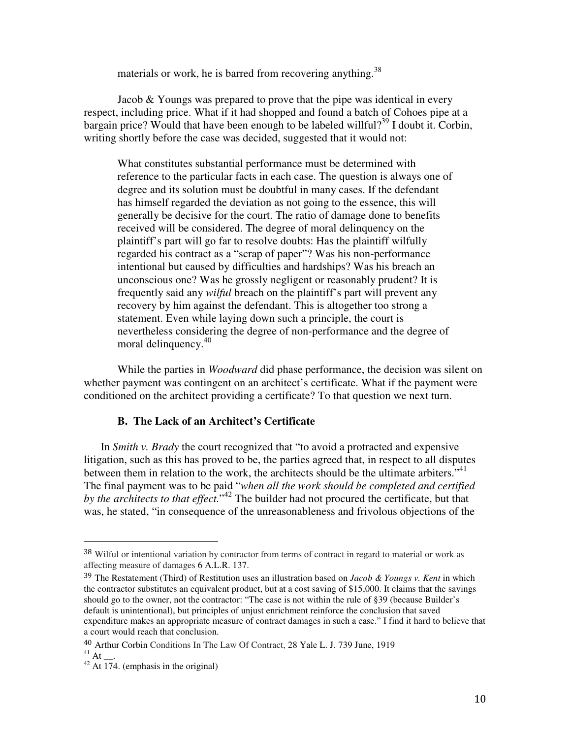materials or work, he is barred from recovering anything.<sup>38</sup>

Jacob & Youngs was prepared to prove that the pipe was identical in every respect, including price. What if it had shopped and found a batch of Cohoes pipe at a bargain price? Would that have been enough to be labeled willful?<sup>39</sup> I doubt it. Corbin, writing shortly before the case was decided, suggested that it would not:

What constitutes substantial performance must be determined with reference to the particular facts in each case. The question is always one of degree and its solution must be doubtful in many cases. If the defendant has himself regarded the deviation as not going to the essence, this will generally be decisive for the court. The ratio of damage done to benefits received will be considered. The degree of moral delinquency on the plaintiff's part will go far to resolve doubts: Has the plaintiff wilfully regarded his contract as a "scrap of paper"? Was his non-performance intentional but caused by difficulties and hardships? Was his breach an unconscious one? Was he grossly negligent or reasonably prudent? It is frequently said any *wilful* breach on the plaintiff's part will prevent any recovery by him against the defendant. This is altogether too strong a statement. Even while laying down such a principle, the court is nevertheless considering the degree of non-performance and the degree of moral delinquency.<sup>40</sup>

While the parties in *Woodward* did phase performance, the decision was silent on whether payment was contingent on an architect's certificate. What if the payment were conditioned on the architect providing a certificate? To that question we next turn.

#### **B. The Lack of an Architect's Certificate**

In *Smith v. Brady* the court recognized that "to avoid a protracted and expensive litigation, such as this has proved to be, the parties agreed that, in respect to all disputes between them in relation to the work, the architects should be the ultimate arbiters."<sup>41</sup> The final payment was to be paid "*when all the work should be completed and certified by the architects to that effect.*" <sup>42</sup> The builder had not procured the certificate, but that was, he stated, "in consequence of the unreasonableness and frivolous objections of the

<sup>38</sup> Wilful or intentional variation by contractor from terms of contract in regard to material or work as affecting measure of damages 6 A.L.R. 137.

<sup>39</sup> The Restatement (Third) of Restitution uses an illustration based on *Jacob & Youngs v. Kent* in which the contractor substitutes an equivalent product, but at a cost saving of \$15,000. It claims that the savings should go to the owner, not the contractor: "The case is not within the rule of §39 (because Builder's default is unintentional), but principles of unjust enrichment reinforce the conclusion that saved expenditure makes an appropriate measure of contract damages in such a case." I find it hard to believe that a court would reach that conclusion.

<sup>40</sup> Arthur Corbin Conditions In The Law Of Contract, 28 Yale L. J. 739 June, 1919

 $^{41}$  At \_\_.

 $42$  At 174. (emphasis in the original)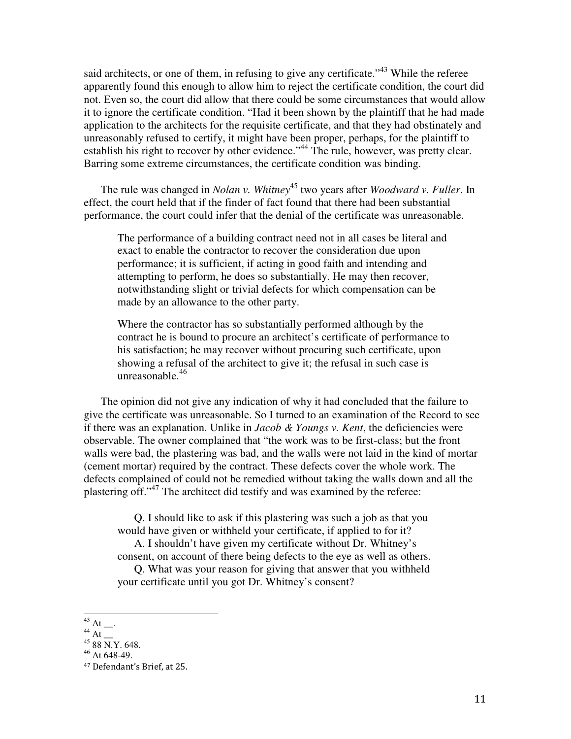said architects, or one of them, in refusing to give any certificate."<sup>43</sup> While the referee apparently found this enough to allow him to reject the certificate condition, the court did not. Even so, the court did allow that there could be some circumstances that would allow it to ignore the certificate condition. "Had it been shown by the plaintiff that he had made application to the architects for the requisite certificate, and that they had obstinately and unreasonably refused to certify, it might have been proper, perhaps, for the plaintiff to establish his right to recover by other evidence."<sup>44</sup> The rule, however, was pretty clear. Barring some extreme circumstances, the certificate condition was binding.

The rule was changed in *Nolan v. Whitney*<sup>45</sup> two years after *Woodward v. Fuller*. In effect, the court held that if the finder of fact found that there had been substantial performance, the court could infer that the denial of the certificate was unreasonable.

The performance of a building contract need not in all cases be literal and exact to enable the contractor to recover the consideration due upon performance; it is sufficient, if acting in good faith and intending and attempting to perform, he does so substantially. He may then recover, notwithstanding slight or trivial defects for which compensation can be made by an allowance to the other party.

Where the contractor has so substantially performed although by the contract he is bound to procure an architect's certificate of performance to his satisfaction; he may recover without procuring such certificate, upon showing a refusal of the architect to give it; the refusal in such case is unreasonable.<sup>46</sup>

The opinion did not give any indication of why it had concluded that the failure to give the certificate was unreasonable. So I turned to an examination of the Record to see if there was an explanation. Unlike in *Jacob & Youngs v. Kent*, the deficiencies were observable. The owner complained that "the work was to be first-class; but the front walls were bad, the plastering was bad, and the walls were not laid in the kind of mortar (cement mortar) required by the contract. These defects cover the whole work. The defects complained of could not be remedied without taking the walls down and all the plastering off."<sup>47</sup> The architect did testify and was examined by the referee:

Q. I should like to ask if this plastering was such a job as that you would have given or withheld your certificate, if applied to for it?

A. I shouldn't have given my certificate without Dr. Whitney's consent, on account of there being defects to the eye as well as others. Q. What was your reason for giving that answer that you withheld

your certificate until you got Dr. Whitney's consent?

 $\overline{a}$  $^{43}$  At \_\_.

 $44 \text{ At}$  —

 $45$  88 N.Y. 648.

 $46$  At 648-49.

<sup>47</sup> Defendant's Brief, at 25.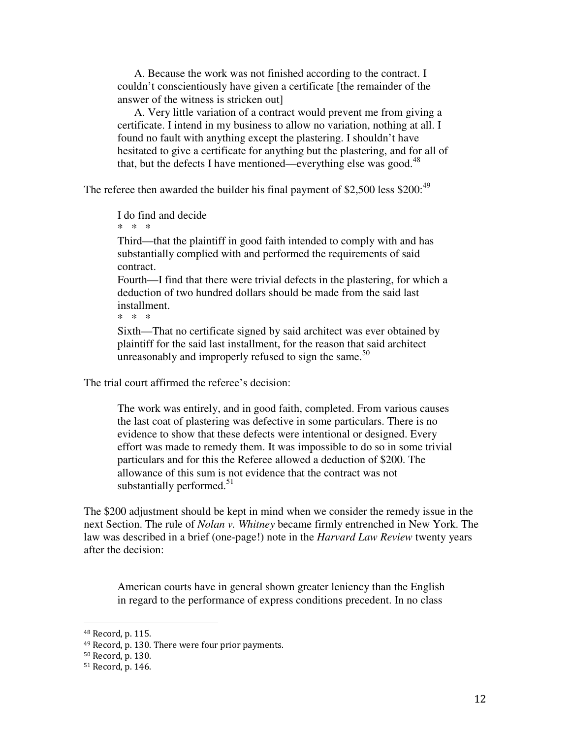A. Because the work was not finished according to the contract. I couldn't conscientiously have given a certificate [the remainder of the answer of the witness is stricken out]

A. Very little variation of a contract would prevent me from giving a certificate. I intend in my business to allow no variation, nothing at all. I found no fault with anything except the plastering. I shouldn't have hesitated to give a certificate for anything but the plastering, and for all of that, but the defects I have mentioned—everything else was good.<sup>48</sup>

The referee then awarded the builder his final payment of \$2,500 less \$200:<sup>49</sup>

I do find and decide

\* \* \*

Third—that the plaintiff in good faith intended to comply with and has substantially complied with and performed the requirements of said contract.

Fourth—I find that there were trivial defects in the plastering, for which a deduction of two hundred dollars should be made from the said last installment.

\* \* \*

Sixth—That no certificate signed by said architect was ever obtained by plaintiff for the said last installment, for the reason that said architect unreasonably and improperly refused to sign the same.<sup>50</sup>

The trial court affirmed the referee's decision:

The work was entirely, and in good faith, completed. From various causes the last coat of plastering was defective in some particulars. There is no evidence to show that these defects were intentional or designed. Every effort was made to remedy them. It was impossible to do so in some trivial particulars and for this the Referee allowed a deduction of \$200. The allowance of this sum is not evidence that the contract was not substantially performed.<sup>51</sup>

The \$200 adjustment should be kept in mind when we consider the remedy issue in the next Section. The rule of *Nolan v. Whitney* became firmly entrenched in New York. The law was described in a brief (one-page!) note in the *Harvard Law Review* twenty years after the decision:

American courts have in general shown greater leniency than the English in regard to the performance of express conditions precedent. In no class

<sup>48</sup> Record, p. 115.

<sup>49</sup> Record, p. 130. There were four prior payments.

<sup>50</sup> Record, p. 130.

<sup>51</sup> Record, p. 146.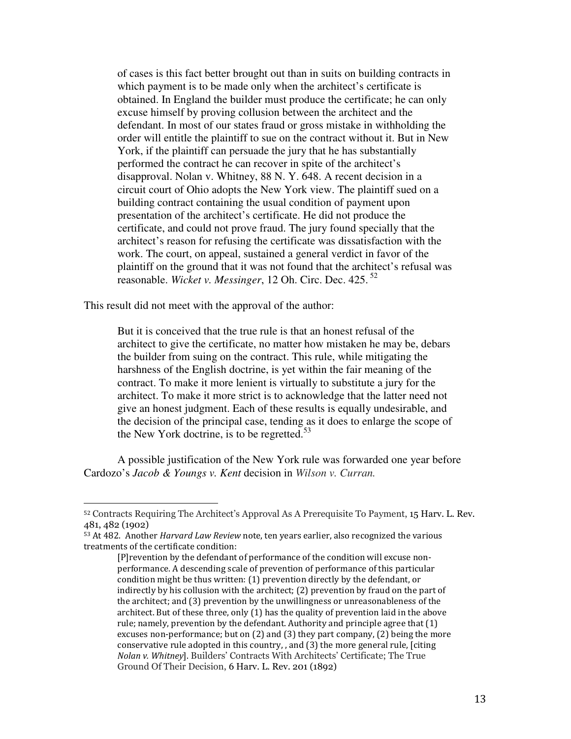of cases is this fact better brought out than in suits on building contracts in which payment is to be made only when the architect's certificate is obtained. In England the builder must produce the certificate; he can only excuse himself by proving collusion between the architect and the defendant. In most of our states fraud or gross mistake in withholding the order will entitle the plaintiff to sue on the contract without it. But in New York, if the plaintiff can persuade the jury that he has substantially performed the contract he can recover in spite of the architect's disapproval. Nolan v. Whitney, 88 N. Y. 648. A recent decision in a circuit court of Ohio adopts the New York view. The plaintiff sued on a building contract containing the usual condition of payment upon presentation of the architect's certificate. He did not produce the certificate, and could not prove fraud. The jury found specially that the architect's reason for refusing the certificate was dissatisfaction with the work. The court, on appeal, sustained a general verdict in favor of the plaintiff on the ground that it was not found that the architect's refusal was reasonable. *Wicket v. Messinger*, 12 Oh. Circ. Dec. 425.<sup>52</sup>

This result did not meet with the approval of the author:

 $\overline{a}$ 

But it is conceived that the true rule is that an honest refusal of the architect to give the certificate, no matter how mistaken he may be, debars the builder from suing on the contract. This rule, while mitigating the harshness of the English doctrine, is yet within the fair meaning of the contract. To make it more lenient is virtually to substitute a jury for the architect. To make it more strict is to acknowledge that the latter need not give an honest judgment. Each of these results is equally undesirable, and the decision of the principal case, tending as it does to enlarge the scope of the New York doctrine, is to be regretted. $53$ 

 A possible justification of the New York rule was forwarded one year before Cardozo's *Jacob & Youngs v. Kent* decision in *Wilson v. Curran.*

<sup>52</sup> Contracts Requiring The Architect's Approval As A Prerequisite To Payment, 15 Harv. L. Rev. 481, 482 (1902)

<sup>&</sup>lt;sup>53</sup> At 482. Another *Harvard Law Review* note, ten years earlier, also recognized the various treatments of the certificate condition:

<sup>[</sup>P]revention by the defendant of performance of the condition will excuse nonperformance. A descending scale of prevention of performance of this particular condition might be thus written: (1) prevention directly by the defendant, or indirectly by his collusion with the architect; (2) prevention by fraud on the part of the architect; and (3) prevention by the unwillingness or unreasonableness of the architect. But of these three, only (1) has the quality of prevention laid in the above rule; namely, prevention by the defendant. Authority and principle agree that (1) excuses non-performance; but on (2) and (3) they part company, (2) being the more conservative rule adopted in this country, , and (3) the more general rule, [citing Nolan v. Whitney]. Builders' Contracts With Architects' Certificate; The True Ground Of Their Decision, 6 Harv. L. Rev. 201 (1892)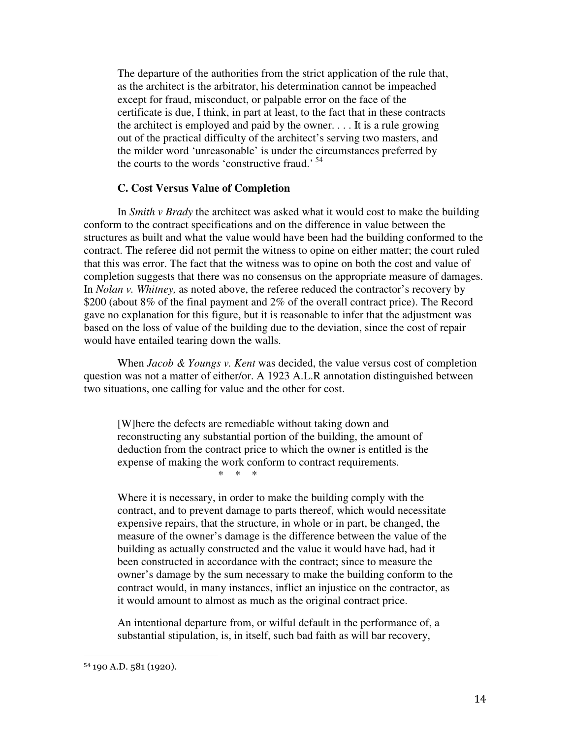The departure of the authorities from the strict application of the rule that, as the architect is the arbitrator, his determination cannot be impeached except for fraud, misconduct, or palpable error on the face of the certificate is due, I think, in part at least, to the fact that in these contracts the architect is employed and paid by the owner. . . . It is a rule growing out of the practical difficulty of the architect's serving two masters, and the milder word 'unreasonable' is under the circumstances preferred by the courts to the words 'constructive fraud.' <sup>54</sup>

#### **C. Cost Versus Value of Completion**

In *Smith v Brady* the architect was asked what it would cost to make the building conform to the contract specifications and on the difference in value between the structures as built and what the value would have been had the building conformed to the contract. The referee did not permit the witness to opine on either matter; the court ruled that this was error. The fact that the witness was to opine on both the cost and value of completion suggests that there was no consensus on the appropriate measure of damages. In *Nolan v. Whitney,* as noted above, the referee reduced the contractor's recovery by \$200 (about 8% of the final payment and 2% of the overall contract price). The Record gave no explanation for this figure, but it is reasonable to infer that the adjustment was based on the loss of value of the building due to the deviation, since the cost of repair would have entailed tearing down the walls.

 When *Jacob & Youngs v. Kent* was decided, the value versus cost of completion question was not a matter of either/or. A 1923 A.L.R annotation distinguished between two situations, one calling for value and the other for cost.

[W]here the defects are remediable without taking down and reconstructing any substantial portion of the building, the amount of deduction from the contract price to which the owner is entitled is the expense of making the work conform to contract requirements.  $*$  \* \* \* \*

Where it is necessary, in order to make the building comply with the contract, and to prevent damage to parts thereof, which would necessitate expensive repairs, that the structure, in whole or in part, be changed, the measure of the owner's damage is the difference between the value of the building as actually constructed and the value it would have had, had it been constructed in accordance with the contract; since to measure the owner's damage by the sum necessary to make the building conform to the contract would, in many instances, inflict an injustice on the contractor, as it would amount to almost as much as the original contract price.

An intentional departure from, or wilful default in the performance of, a substantial stipulation, is, in itself, such bad faith as will bar recovery,

<sup>54</sup> 190 A.D. 581 (1920).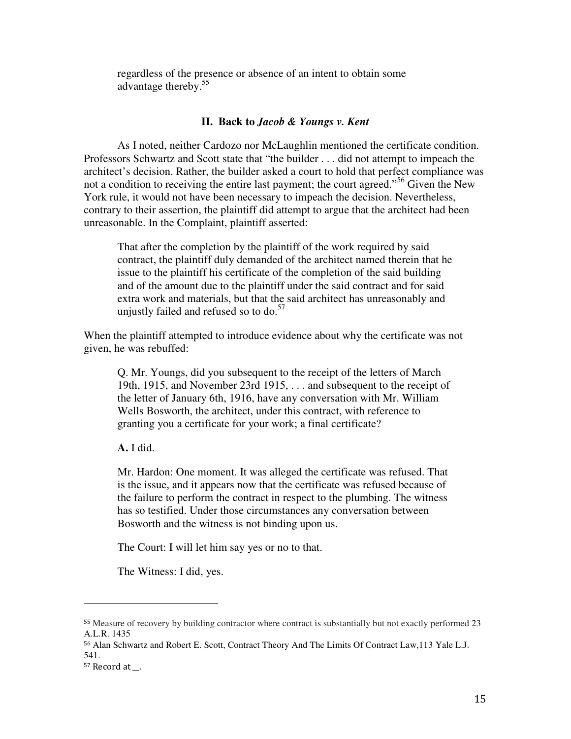regardless of the presence or absence of an intent to obtain some advantage thereby.<sup>55</sup>

#### **II. Back to** *Jacob & Youngs v. Kent*

As I noted, neither Cardozo nor McLaughlin mentioned the certificate condition. Professors Schwartz and Scott state that "the builder . . . did not attempt to impeach the architect's decision. Rather, the builder asked a court to hold that perfect compliance was not a condition to receiving the entire last payment; the court agreed."<sup>56</sup> Given the New York rule, it would not have been necessary to impeach the decision. Nevertheless, contrary to their assertion, the plaintiff did attempt to argue that the architect had been unreasonable. In the Complaint, plaintiff asserted:

That after the completion by the plaintiff of the work required by said contract, the plaintiff duly demanded of the architect named therein that he issue to the plaintiff his certificate of the completion of the said building and of the amount due to the plaintiff under the said contract and for said extra work and materials, but that the said architect has unreasonably and unjustly failed and refused so to do. $57$ 

When the plaintiff attempted to introduce evidence about why the certificate was not given, he was rebuffed:

Q. Mr. Youngs, did you subsequent to the receipt of the letters of March 19th, 1915, and November 23rd 1915, . . . and subsequent to the receipt of the letter of January 6th, 1916, have any conversation with Mr. William Wells Bosworth, the architect, under this contract, with reference to granting you a certificate for your work; a final certificate?

**A.** I did.

Mr. Hardon: One moment. It was alleged the certificate was refused. That is the issue, and it appears now that the certificate was refused because of the failure to perform the contract in respect to the plumbing. The witness has so testified. Under those circumstances any conversation between Bosworth and the witness is not binding upon us.

The Court: I will let him say yes or no to that.

The Witness: I did, yes.

<sup>55</sup> Measure of recovery by building contractor where contract is substantially but not exactly performed 23 A.L.R. 1435

<sup>56</sup> Alan Schwartz and Robert E. Scott, Contract Theory And The Limits Of Contract Law,113 Yale L.J. 541.

<sup>57</sup> Record at \_\_.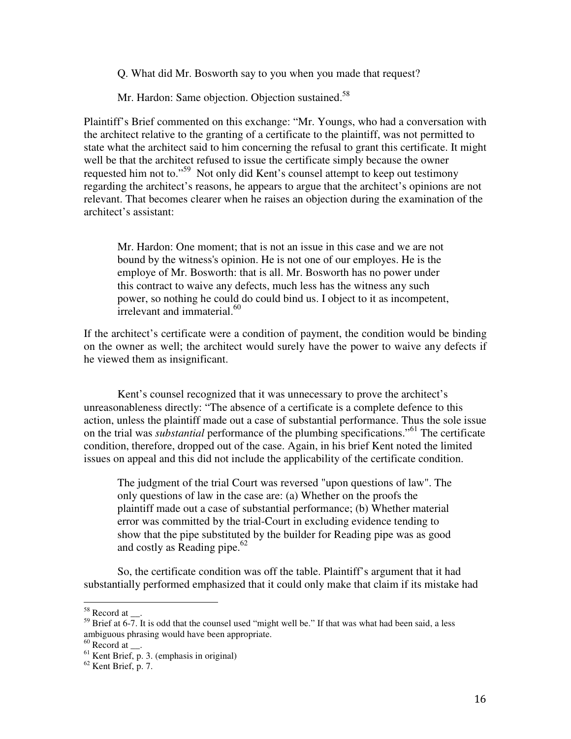Q. What did Mr. Bosworth say to you when you made that request?

Mr. Hardon: Same objection. Objection sustained.<sup>58</sup>

Plaintiff's Brief commented on this exchange: "Mr. Youngs, who had a conversation with the architect relative to the granting of a certificate to the plaintiff, was not permitted to state what the architect said to him concerning the refusal to grant this certificate. It might well be that the architect refused to issue the certificate simply because the owner requested him not to."<sup>59</sup> Not only did Kent's counsel attempt to keep out testimony regarding the architect's reasons, he appears to argue that the architect's opinions are not relevant. That becomes clearer when he raises an objection during the examination of the architect's assistant:

Mr. Hardon: One moment; that is not an issue in this case and we are not bound by the witness's opinion. He is not one of our employes. He is the employe of Mr. Bosworth: that is all. Mr. Bosworth has no power under this contract to waive any defects, much less has the witness any such power, so nothing he could do could bind us. I object to it as incompetent, irrelevant and immaterial. $60$ 

If the architect's certificate were a condition of payment, the condition would be binding on the owner as well; the architect would surely have the power to waive any defects if he viewed them as insignificant.

Kent's counsel recognized that it was unnecessary to prove the architect's unreasonableness directly: "The absence of a certificate is a complete defence to this action, unless the plaintiff made out a case of substantial performance. Thus the sole issue on the trial was *substantial* performance of the plumbing specifications."<sup>61</sup> The certificate condition, therefore, dropped out of the case. Again, in his brief Kent noted the limited issues on appeal and this did not include the applicability of the certificate condition.

The judgment of the trial Court was reversed "upon questions of law". The only questions of law in the case are: (a) Whether on the proofs the plaintiff made out a case of substantial performance; (b) Whether material error was committed by the trial-Court in excluding evidence tending to show that the pipe substituted by the builder for Reading pipe was as good and costly as Reading pipe. $62$ 

 So, the certificate condition was off the table. Plaintiff's argument that it had substantially performed emphasized that it could only make that claim if its mistake had

 $58$  Record at  $\_\_$ .

 $\frac{59}{10}$  Brief at 6-7. It is odd that the counsel used "might well be." If that was what had been said, a less ambiguous phrasing would have been appropriate.

 $60$  Record at  $\_\_$ .

 $^{61}$  Kent Brief, p. 3. (emphasis in original)

 $62$  Kent Brief, p. 7.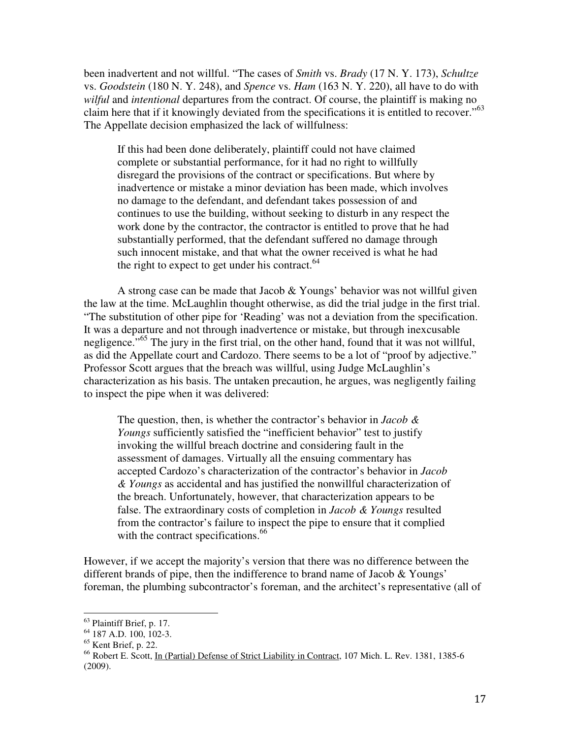been inadvertent and not willful. "The cases of *Smith* vs. *Brady* (17 N. Y. 173), *Schultze*  vs. *Goodstein* (180 N. Y. 248), and *Spence* vs. *Ham* (163 N. Y. 220), all have to do with *wilful* and *intentional* departures from the contract. Of course, the plaintiff is making no claim here that if it knowingly deviated from the specifications it is entitled to recover."<sup>63</sup> The Appellate decision emphasized the lack of willfulness:

If this had been done deliberately, plaintiff could not have claimed complete or substantial performance, for it had no right to willfully disregard the provisions of the contract or specifications. But where by inadvertence or mistake a minor deviation has been made, which involves no damage to the defendant, and defendant takes possession of and continues to use the building, without seeking to disturb in any respect the work done by the contractor, the contractor is entitled to prove that he had substantially performed, that the defendant suffered no damage through such innocent mistake, and that what the owner received is what he had the right to expect to get under his contract. $64$ 

A strong case can be made that Jacob & Youngs' behavior was not willful given the law at the time. McLaughlin thought otherwise, as did the trial judge in the first trial. "The substitution of other pipe for 'Reading' was not a deviation from the specification. It was a departure and not through inadvertence or mistake, but through inexcusable negligence."<sup>65</sup> The jury in the first trial, on the other hand, found that it was not willful, as did the Appellate court and Cardozo. There seems to be a lot of "proof by adjective." Professor Scott argues that the breach was willful, using Judge McLaughlin's characterization as his basis. The untaken precaution, he argues, was negligently failing to inspect the pipe when it was delivered:

The question, then, is whether the contractor's behavior in *Jacob & Youngs* sufficiently satisfied the "inefficient behavior" test to justify invoking the willful breach doctrine and considering fault in the assessment of damages. Virtually all the ensuing commentary has accepted Cardozo's characterization of the contractor's behavior in *Jacob & Youngs* as accidental and has justified the nonwillful characterization of the breach. Unfortunately, however, that characterization appears to be false. The extraordinary costs of completion in *Jacob & Youngs* resulted from the contractor's failure to inspect the pipe to ensure that it complied with the contract specifications.<sup>66</sup>

However, if we accept the majority's version that there was no difference between the different brands of pipe, then the indifference to brand name of Jacob & Youngs' foreman, the plumbing subcontractor's foreman, and the architect's representative (all of

<sup>&</sup>lt;sup>63</sup> Plaintiff Brief, p. 17.

<sup>64</sup> 187 A.D. 100, 102-3.

 $65$  Kent Brief, p. 22.

<sup>66</sup> Robert E. Scott, In (Partial) Defense of Strict Liability in Contract, 107 Mich. L. Rev. 1381, 1385-6 (2009).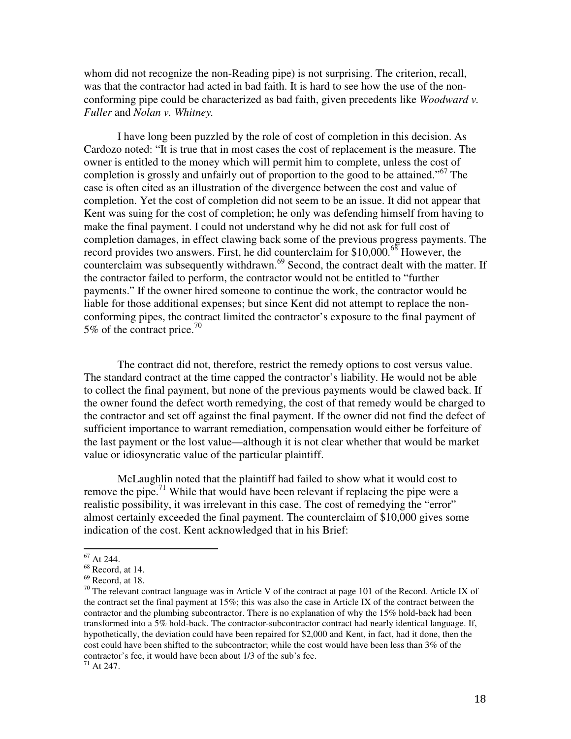whom did not recognize the non-Reading pipe) is not surprising. The criterion, recall, was that the contractor had acted in bad faith. It is hard to see how the use of the nonconforming pipe could be characterized as bad faith, given precedents like *Woodward v. Fuller* and *Nolan v. Whitney.* 

I have long been puzzled by the role of cost of completion in this decision. As Cardozo noted: "It is true that in most cases the cost of replacement is the measure. The owner is entitled to the money which will permit him to complete, unless the cost of completion is grossly and unfairly out of proportion to the good to be attained."<sup>67</sup> The case is often cited as an illustration of the divergence between the cost and value of completion. Yet the cost of completion did not seem to be an issue. It did not appear that Kent was suing for the cost of completion; he only was defending himself from having to make the final payment. I could not understand why he did not ask for full cost of completion damages, in effect clawing back some of the previous progress payments. The record provides two answers. First, he did counterclaim for \$10,000.<sup>68</sup> However, the counterclaim was subsequently withdrawn.<sup>69</sup> Second, the contract dealt with the matter. If the contractor failed to perform, the contractor would not be entitled to "further payments." If the owner hired someone to continue the work, the contractor would be liable for those additional expenses; but since Kent did not attempt to replace the nonconforming pipes, the contract limited the contractor's exposure to the final payment of 5% of the contract price.<sup>70</sup>

The contract did not, therefore, restrict the remedy options to cost versus value. The standard contract at the time capped the contractor's liability. He would not be able to collect the final payment, but none of the previous payments would be clawed back. If the owner found the defect worth remedying, the cost of that remedy would be charged to the contractor and set off against the final payment. If the owner did not find the defect of sufficient importance to warrant remediation, compensation would either be forfeiture of the last payment or the lost value—although it is not clear whether that would be market value or idiosyncratic value of the particular plaintiff.

 McLaughlin noted that the plaintiff had failed to show what it would cost to remove the pipe.<sup>71</sup> While that would have been relevant if replacing the pipe were a realistic possibility, it was irrelevant in this case. The cost of remedying the "error" almost certainly exceeded the final payment. The counterclaim of \$10,000 gives some indication of the cost. Kent acknowledged that in his Brief:

 $67$  At 244.

<sup>68</sup> Record, at 14.

<sup>69</sup> Record, at 18.

 $70$  The relevant contract language was in Article V of the contract at page 101 of the Record. Article IX of the contract set the final payment at 15%; this was also the case in Article IX of the contract between the contractor and the plumbing subcontractor. There is no explanation of why the 15% hold-back had been transformed into a 5% hold-back. The contractor-subcontractor contract had nearly identical language. If, hypothetically, the deviation could have been repaired for \$2,000 and Kent, in fact, had it done, then the cost could have been shifted to the subcontractor; while the cost would have been less than 3% of the contractor's fee, it would have been about 1/3 of the sub's fee.

 $^{71}$  At 247.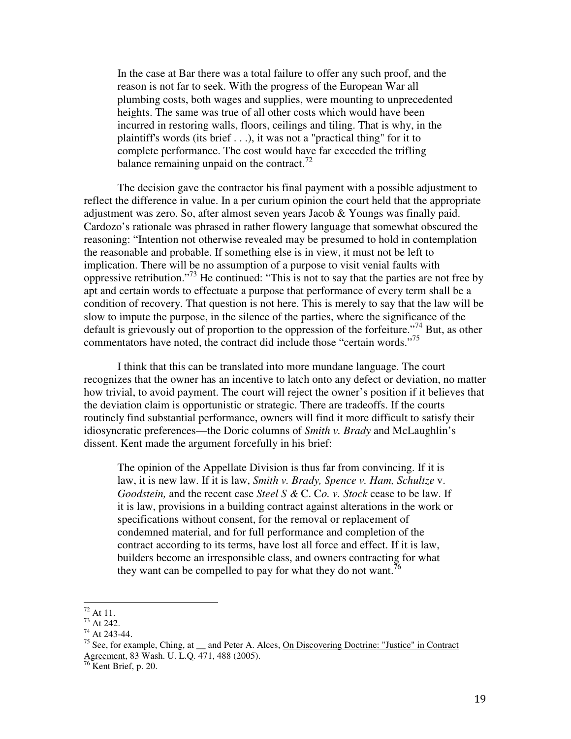In the case at Bar there was a total failure to offer any such proof, and the reason is not far to seek. With the progress of the European War all plumbing costs, both wages and supplies, were mounting to unprecedented heights. The same was true of all other costs which would have been incurred in restoring walls, floors, ceilings and tiling. That is why, in the plaintiff's words (its brief . . .), it was not a "practical thing" for it to complete performance. The cost would have far exceeded the trifling balance remaining unpaid on the contract.<sup>72</sup>

 The decision gave the contractor his final payment with a possible adjustment to reflect the difference in value. In a per curium opinion the court held that the appropriate adjustment was zero. So, after almost seven years Jacob & Youngs was finally paid. Cardozo's rationale was phrased in rather flowery language that somewhat obscured the reasoning: "Intention not otherwise revealed may be presumed to hold in contemplation the reasonable and probable. If something else is in view, it must not be left to implication. There will be no assumption of a purpose to visit venial faults with oppressive retribution."<sup>73</sup> He continued: "This is not to say that the parties are not free by apt and certain words to effectuate a purpose that performance of every term shall be a condition of recovery. That question is not here. This is merely to say that the law will be slow to impute the purpose, in the silence of the parties, where the significance of the default is grievously out of proportion to the oppression of the forfeiture."<sup>74</sup> But, as other commentators have noted, the contract did include those "certain words."<sup>75</sup>

 I think that this can be translated into more mundane language. The court recognizes that the owner has an incentive to latch onto any defect or deviation, no matter how trivial, to avoid payment. The court will reject the owner's position if it believes that the deviation claim is opportunistic or strategic. There are tradeoffs. If the courts routinely find substantial performance, owners will find it more difficult to satisfy their idiosyncratic preferences—the Doric columns of *Smith v. Brady* and McLaughlin's dissent. Kent made the argument forcefully in his brief:

The opinion of the Appellate Division is thus far from convincing. If it is law, it is new law. If it is law, *Smith v. Brady, Spence v. Ham, Schultze* v. *Goodstein,* and the recent case *Steel S &* C. C*o. v. Stock* cease to be law. If it is law, provisions in a building contract against alterations in the work or specifications without consent, for the removal or replacement of condemned material, and for full performance and completion of the contract according to its terms, have lost all force and effect. If it is law, builders become an irresponsible class, and owners contracting for what they want can be compelled to pay for what they do not want.<sup>76</sup>

 $72$  At 11.

 $73$  At 242.

<sup>74</sup> At 243-44.

<sup>&</sup>lt;sup>75</sup> See, for example, Ching, at \_\_ and Peter A. Alces, <u>On Discovering Doctrine: "Justice" in Contract</u> Agreement, 83 Wash. U. L.Q. 471, 488 (2005).

 $76$  Kent Brief, p. 20.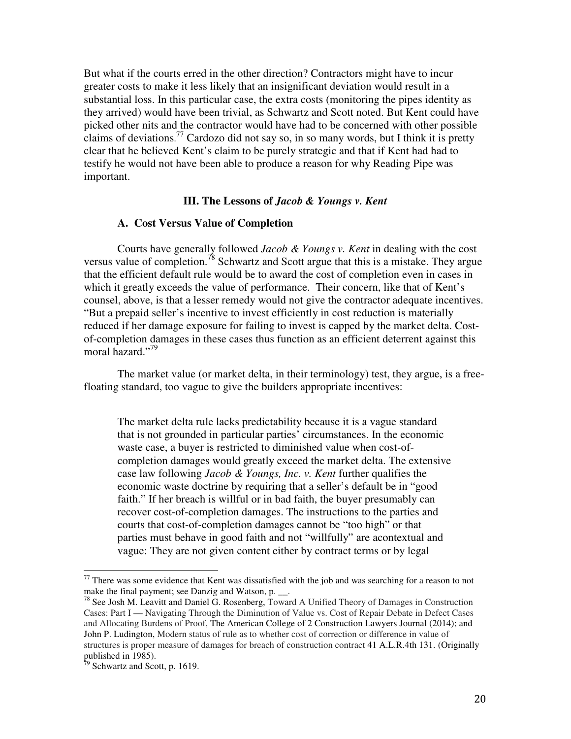But what if the courts erred in the other direction? Contractors might have to incur greater costs to make it less likely that an insignificant deviation would result in a substantial loss. In this particular case, the extra costs (monitoring the pipes identity as they arrived) would have been trivial, as Schwartz and Scott noted. But Kent could have picked other nits and the contractor would have had to be concerned with other possible claims of deviations. <sup>77</sup> Cardozo did not say so, in so many words, but I think it is pretty clear that he believed Kent's claim to be purely strategic and that if Kent had had to testify he would not have been able to produce a reason for why Reading Pipe was important.

## **III. The Lessons of** *Jacob & Youngs v. Kent*

### **A. Cost Versus Value of Completion**

Courts have generally followed *Jacob & Youngs v. Kent* in dealing with the cost versus value of completion.<sup>78</sup> Schwartz and Scott argue that this is a mistake. They argue that the efficient default rule would be to award the cost of completion even in cases in which it greatly exceeds the value of performance. Their concern, like that of Kent's counsel, above, is that a lesser remedy would not give the contractor adequate incentives. "But a prepaid seller's incentive to invest efficiently in cost reduction is materially reduced if her damage exposure for failing to invest is capped by the market delta. Costof-completion damages in these cases thus function as an efficient deterrent against this moral hazard."<sup>79</sup>

The market value (or market delta, in their terminology) test, they argue, is a freefloating standard, too vague to give the builders appropriate incentives:

The market delta rule lacks predictability because it is a vague standard that is not grounded in particular parties' circumstances. In the economic waste case, a buyer is restricted to diminished value when cost-ofcompletion damages would greatly exceed the market delta. The extensive case law following *Jacob & Youngs, Inc. v. Kent* further qualifies the economic waste doctrine by requiring that a seller's default be in "good faith." If her breach is willful or in bad faith, the buyer presumably can recover cost-of-completion damages. The instructions to the parties and courts that cost-of-completion damages cannot be "too high" or that parties must behave in good faith and not "willfully" are acontextual and vague: They are not given content either by contract terms or by legal

 $77$  There was some evidence that Kent was dissatisfied with the job and was searching for a reason to not make the final payment; see Danzig and Watson, p.

<sup>&</sup>lt;sup>78</sup> See Josh M. Leavitt and Daniel G. Rosenberg, Toward A Unified Theory of Damages in Construction Cases: Part I — Navigating Through the Diminution of Value vs. Cost of Repair Debate in Defect Cases and Allocating Burdens of Proof, The American College of 2 Construction Lawyers Journal (2014); and John P. Ludington, Modern status of rule as to whether cost of correction or difference in value of structures is proper measure of damages for breach of construction contract 41 A.L.R.4th 131. (Originally published in 1985).

 $79$  Schwartz and Scott, p. 1619.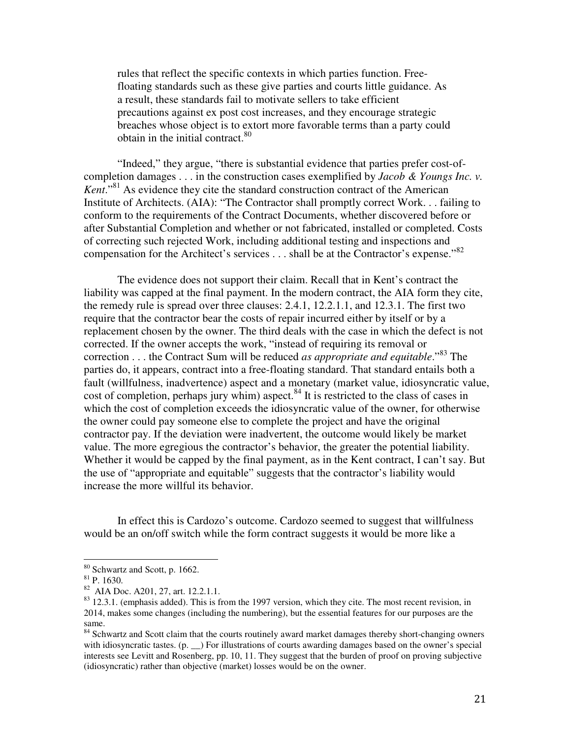rules that reflect the specific contexts in which parties function. Freefloating standards such as these give parties and courts little guidance. As a result, these standards fail to motivate sellers to take efficient precautions against ex post cost increases, and they encourage strategic breaches whose object is to extort more favorable terms than a party could obtain in the initial contract.<sup>80</sup>

"Indeed," they argue, "there is substantial evidence that parties prefer cost-ofcompletion damages . . . in the construction cases exemplified by *Jacob & Youngs Inc. v. Kent*<sup>81</sup>. As evidence they cite the standard construction contract of the American Institute of Architects. (AIA): "The Contractor shall promptly correct Work. . . failing to conform to the requirements of the Contract Documents, whether discovered before or after Substantial Completion and whether or not fabricated, installed or completed. Costs of correcting such rejected Work, including additional testing and inspections and compensation for the Architect's services ... shall be at the Contractor's expense."<sup>82</sup>

The evidence does not support their claim. Recall that in Kent's contract the liability was capped at the final payment. In the modern contract, the AIA form they cite, the remedy rule is spread over three clauses: 2.4.1, 12.2.1.1, and 12.3.1. The first two require that the contractor bear the costs of repair incurred either by itself or by a replacement chosen by the owner. The third deals with the case in which the defect is not corrected. If the owner accepts the work, "instead of requiring its removal or correction . . . the Contract Sum will be reduced *as appropriate and equitable*."<sup>83</sup> The parties do, it appears, contract into a free-floating standard. That standard entails both a fault (willfulness, inadvertence) aspect and a monetary (market value, idiosyncratic value, cost of completion, perhaps jury whim) aspect.<sup>84</sup> It is restricted to the class of cases in which the cost of completion exceeds the idiosyncratic value of the owner, for otherwise the owner could pay someone else to complete the project and have the original contractor pay. If the deviation were inadvertent, the outcome would likely be market value. The more egregious the contractor's behavior, the greater the potential liability. Whether it would be capped by the final payment, as in the Kent contract, I can't say. But the use of "appropriate and equitable" suggests that the contractor's liability would increase the more willful its behavior.

In effect this is Cardozo's outcome. Cardozo seemed to suggest that willfulness would be an on/off switch while the form contract suggests it would be more like a

l

<sup>&</sup>lt;sup>80</sup> Schwartz and Scott, p. 1662.

 $81$  P. 1630.

<sup>82</sup> AIA Doc. A201, 27, art. 12.2.1.1.

<sup>&</sup>lt;sup>83</sup> 12.3.1. (emphasis added). This is from the 1997 version, which they cite. The most recent revision, in 2014, makes some changes (including the numbering), but the essential features for our purposes are the same.

<sup>&</sup>lt;sup>84</sup> Schwartz and Scott claim that the courts routinely award market damages thereby short-changing owners with idiosyncratic tastes. (p. ) For illustrations of courts awarding damages based on the owner's special interests see Levitt and Rosenberg, pp. 10, 11. They suggest that the burden of proof on proving subjective (idiosyncratic) rather than objective (market) losses would be on the owner.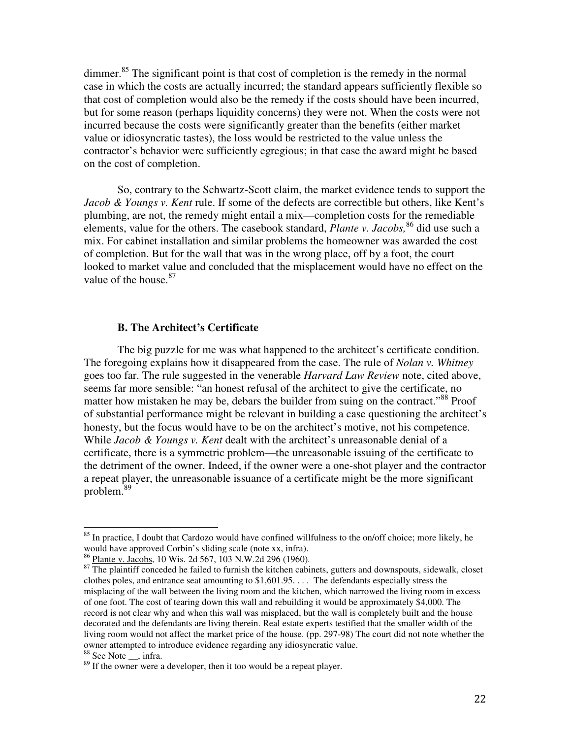dimmer.<sup>85</sup> The significant point is that cost of completion is the remedy in the normal case in which the costs are actually incurred; the standard appears sufficiently flexible so that cost of completion would also be the remedy if the costs should have been incurred, but for some reason (perhaps liquidity concerns) they were not. When the costs were not incurred because the costs were significantly greater than the benefits (either market value or idiosyncratic tastes), the loss would be restricted to the value unless the contractor's behavior were sufficiently egregious; in that case the award might be based on the cost of completion.

 So, contrary to the Schwartz-Scott claim, the market evidence tends to support the *Jacob & Youngs v. Kent* rule. If some of the defects are correctible but others, like Kent's plumbing, are not, the remedy might entail a mix—completion costs for the remediable elements, value for the others. The casebook standard, *Plante v. Jacobs*, <sup>86</sup> did use such a mix. For cabinet installation and similar problems the homeowner was awarded the cost of completion. But for the wall that was in the wrong place, off by a foot, the court looked to market value and concluded that the misplacement would have no effect on the value of the house.  $87$ 

#### **B. The Architect's Certificate**

The big puzzle for me was what happened to the architect's certificate condition. The foregoing explains how it disappeared from the case. The rule of *Nolan v. Whitney* goes too far. The rule suggested in the venerable *Harvard Law Review* note, cited above, seems far more sensible: "an honest refusal of the architect to give the certificate, no matter how mistaken he may be, debars the builder from suing on the contract."<sup>88</sup> Proof of substantial performance might be relevant in building a case questioning the architect's honesty, but the focus would have to be on the architect's motive, not his competence. While *Jacob & Youngs v. Kent* dealt with the architect's unreasonable denial of a certificate, there is a symmetric problem—the unreasonable issuing of the certificate to the detriment of the owner. Indeed, if the owner were a one-shot player and the contractor a repeat player, the unreasonable issuance of a certificate might be the more significant problem.<sup>89</sup>

<sup>&</sup>lt;sup>85</sup> In practice, I doubt that Cardozo would have confined willfulness to the on/off choice; more likely, he would have approved Corbin's sliding scale (note xx, infra).

<sup>86</sup> Plante v. Jacobs, 10 Wis. 2d 567, 103 N.W.2d 296 (1960).

 $87$  The plaintiff conceded he failed to furnish the kitchen cabinets, gutters and downspouts, sidewalk, closet clothes poles, and entrance seat amounting to \$1,601.95. . . . The defendants especially stress the misplacing of the wall between the living room and the kitchen, which narrowed the living room in excess of one foot. The cost of tearing down this wall and rebuilding it would be approximately \$4,000. The record is not clear why and when this wall was misplaced, but the wall is completely built and the house decorated and the defendants are living therein. Real estate experts testified that the smaller width of the living room would not affect the market price of the house. (pp. 297-98) The court did not note whether the owner attempted to introduce evidence regarding any idiosyncratic value.

<sup>&</sup>lt;sup>88</sup> See Note \_\_, infra.

<sup>&</sup>lt;sup>89</sup> If the owner were a developer, then it too would be a repeat player.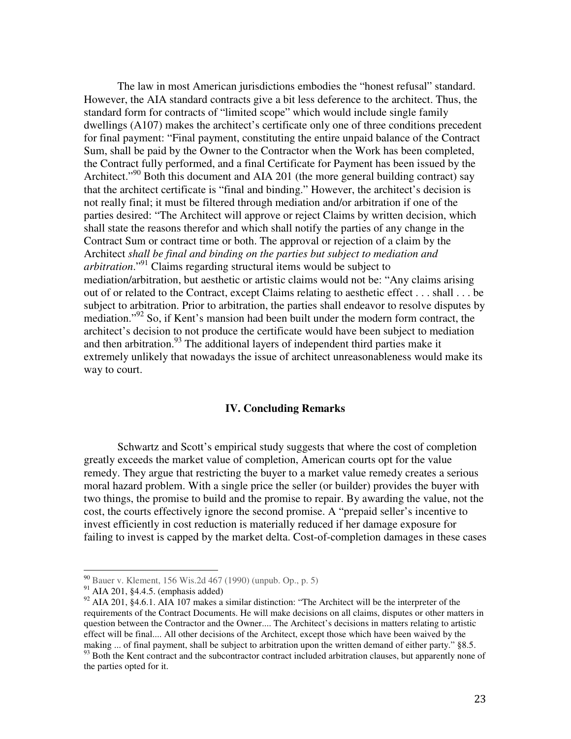The law in most American jurisdictions embodies the "honest refusal" standard. However, the AIA standard contracts give a bit less deference to the architect. Thus, the standard form for contracts of "limited scope" which would include single family dwellings (A107) makes the architect's certificate only one of three conditions precedent for final payment: "Final payment, constituting the entire unpaid balance of the Contract Sum, shall be paid by the Owner to the Contractor when the Work has been completed, the Contract fully performed, and a final Certificate for Payment has been issued by the Architect."<sup>90</sup> Both this document and AIA 201 (the more general building contract) say that the architect certificate is "final and binding." However, the architect's decision is not really final; it must be filtered through mediation and/or arbitration if one of the parties desired: "The Architect will approve or reject Claims by written decision, which shall state the reasons therefor and which shall notify the parties of any change in the Contract Sum or contract time or both. The approval or rejection of a claim by the Architect *shall be final and binding on the parties but subject to mediation and arbitration*."<sup>91</sup> Claims regarding structural items would be subject to mediation/arbitration, but aesthetic or artistic claims would not be: "Any claims arising out of or related to the Contract, except Claims relating to aesthetic effect . . . shall . . . be subject to arbitration. Prior to arbitration, the parties shall endeavor to resolve disputes by mediation."<sup>92</sup> So, if Kent's mansion had been built under the modern form contract, the architect's decision to not produce the certificate would have been subject to mediation and then arbitration.<sup>93</sup> The additional layers of independent third parties make it extremely unlikely that nowadays the issue of architect unreasonableness would make its way to court.

### **IV. Concluding Remarks**

Schwartz and Scott's empirical study suggests that where the cost of completion greatly exceeds the market value of completion, American courts opt for the value remedy. They argue that restricting the buyer to a market value remedy creates a serious moral hazard problem. With a single price the seller (or builder) provides the buyer with two things, the promise to build and the promise to repair. By awarding the value, not the cost, the courts effectively ignore the second promise. A "prepaid seller's incentive to invest efficiently in cost reduction is materially reduced if her damage exposure for failing to invest is capped by the market delta. Cost-of-completion damages in these cases

 $90$  Bauer v. Klement, 156 Wis.2d 467 (1990) (unpub. Op., p. 5)

 $91$  AIA 201, §4.4.5. (emphasis added)

<sup>&</sup>lt;sup>92</sup> AIA 201, §4.6.1. AIA 107 makes a similar distinction: "The Architect will be the interpreter of the requirements of the Contract Documents. He will make decisions on all claims, disputes or other matters in question between the Contractor and the Owner.... The Architect's decisions in matters relating to artistic effect will be final.... All other decisions of the Architect, except those which have been waived by the making ... of final payment, shall be subject to arbitration upon the written demand of either party." §8.5.

<sup>&</sup>lt;sup>93</sup> Both the Kent contract and the subcontractor contract included arbitration clauses, but apparently none of the parties opted for it.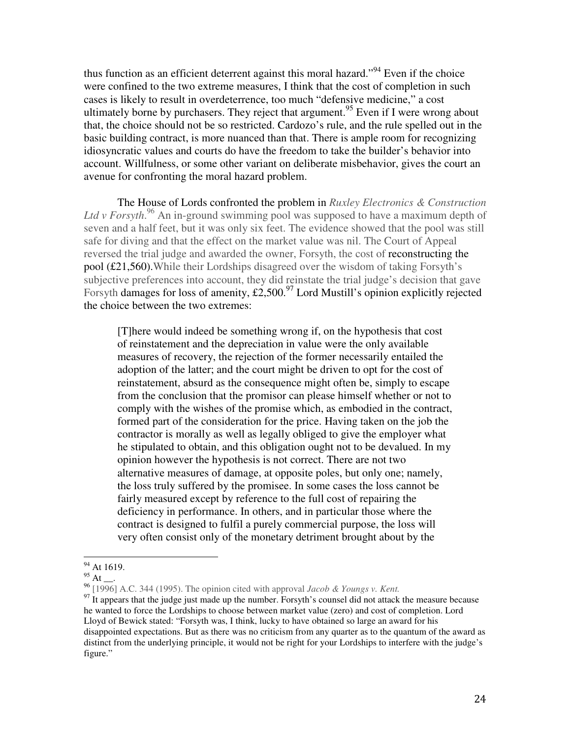thus function as an efficient deterrent against this moral hazard."<sup>94</sup> Even if the choice were confined to the two extreme measures, I think that the cost of completion in such cases is likely to result in overdeterrence, too much "defensive medicine," a cost ultimately borne by purchasers. They reject that argument.<sup>95</sup> Even if I were wrong about that, the choice should not be so restricted. Cardozo's rule, and the rule spelled out in the basic building contract, is more nuanced than that. There is ample room for recognizing idiosyncratic values and courts do have the freedom to take the builder's behavior into account. Willfulness, or some other variant on deliberate misbehavior, gives the court an avenue for confronting the moral hazard problem.

The House of Lords confronted the problem in *Ruxley Electronics & Construction*  Ltd v Forsyth.<sup>96</sup> An in-ground swimming pool was supposed to have a maximum depth of seven and a half feet, but it was only six feet. The evidence showed that the pool was still safe for diving and that the effect on the market value was nil. The Court of Appeal reversed the trial judge and awarded the owner, Forsyth, the cost of reconstructing the pool (£21,560).While their Lordships disagreed over the wisdom of taking Forsyth's subjective preferences into account, they did reinstate the trial judge's decision that gave Forsyth damages for loss of amenity,  $\pounds2,500.^{97}$  Lord Mustill's opinion explicitly rejected the choice between the two extremes:

[T]here would indeed be something wrong if, on the hypothesis that cost of reinstatement and the depreciation in value were the only available measures of recovery, the rejection of the former necessarily entailed the adoption of the latter; and the court might be driven to opt for the cost of reinstatement, absurd as the consequence might often be, simply to escape from the conclusion that the promisor can please himself whether or not to comply with the wishes of the promise which, as embodied in the contract, formed part of the consideration for the price. Having taken on the job the contractor is morally as well as legally obliged to give the employer what he stipulated to obtain, and this obligation ought not to be devalued. In my opinion however the hypothesis is not correct. There are not two alternative measures of damage, at opposite poles, but only one; namely, the loss truly suffered by the promisee. In some cases the loss cannot be fairly measured except by reference to the full cost of repairing the deficiency in performance. In others, and in particular those where the contract is designed to fulfil a purely commercial purpose, the loss will very often consist only of the monetary detriment brought about by the

 $\overline{a}$  $94$  At 1619.

 $^{95}$  At \_\_\_.

<sup>96</sup> [1996] A.C. 344 (1995). The opinion cited with approval *Jacob & Youngs v. Kent.*

<sup>&</sup>lt;sup>97</sup> It appears that the judge just made up the number. Forsyth's counsel did not attack the measure because he wanted to force the Lordships to choose between market value (zero) and cost of completion. Lord Lloyd of Bewick stated: "Forsyth was, I think, lucky to have obtained so large an award for his disappointed expectations. But as there was no criticism from any quarter as to the quantum of the award as distinct from the underlying principle, it would not be right for your Lordships to interfere with the judge's figure."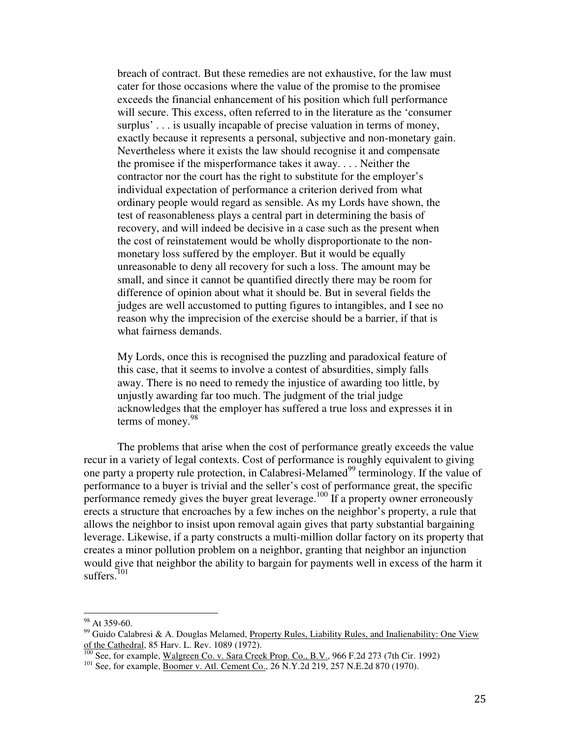breach of contract. But these remedies are not exhaustive, for the law must cater for those occasions where the value of the promise to the promisee exceeds the financial enhancement of his position which full performance will secure. This excess, often referred to in the literature as the 'consumer surplus'... is usually incapable of precise valuation in terms of money, exactly because it represents a personal, subjective and non-monetary gain. Nevertheless where it exists the law should recognise it and compensate the promisee if the misperformance takes it away. . . . Neither the contractor nor the court has the right to substitute for the employer's individual expectation of performance a criterion derived from what ordinary people would regard as sensible. As my Lords have shown, the test of reasonableness plays a central part in determining the basis of recovery, and will indeed be decisive in a case such as the present when the cost of reinstatement would be wholly disproportionate to the nonmonetary loss suffered by the employer. But it would be equally unreasonable to deny all recovery for such a loss. The amount may be small, and since it cannot be quantified directly there may be room for difference of opinion about what it should be. But in several fields the judges are well accustomed to putting figures to intangibles, and I see no reason why the imprecision of the exercise should be a barrier, if that is what fairness demands.

My Lords, once this is recognised the puzzling and paradoxical feature of this case, that it seems to involve a contest of absurdities, simply falls away. There is no need to remedy the injustice of awarding too little, by unjustly awarding far too much. The judgment of the trial judge acknowledges that the employer has suffered a true loss and expresses it in terms of money.<sup>98</sup>

The problems that arise when the cost of performance greatly exceeds the value recur in a variety of legal contexts. Cost of performance is roughly equivalent to giving one party a property rule protection, in Calabresi-Melamed<sup>99</sup> terminology. If the value of performance to a buyer is trivial and the seller's cost of performance great, the specific performance remedy gives the buyer great leverage.<sup>100</sup> If a property owner erroneously erects a structure that encroaches by a few inches on the neighbor's property, a rule that allows the neighbor to insist upon removal again gives that party substantial bargaining leverage. Likewise, if a party constructs a multi-million dollar factory on its property that creates a minor pollution problem on a neighbor, granting that neighbor an injunction would give that neighbor the ability to bargain for payments well in excess of the harm it suffers. $101$ 

 $98$  At 359-60.

 $99$  Guido Calabresi & A. Douglas Melamed, Property Rules, Liability Rules, and Inalienability: One View of the Cathedral, 85 Harv. L. Rev. 1089 (1972).

<sup>&</sup>lt;sup>100</sup> See, for example, Walgreen Co. v. Sara Creek Prop. Co., B.V., 966 F.2d 273 (7th Cir. 1992)

<sup>&</sup>lt;sup>101</sup> See, for example, **Boomer v. Atl. Cement Co.**, 26 N.Y.2d 219, 257 N.E.2d 870 (1970).